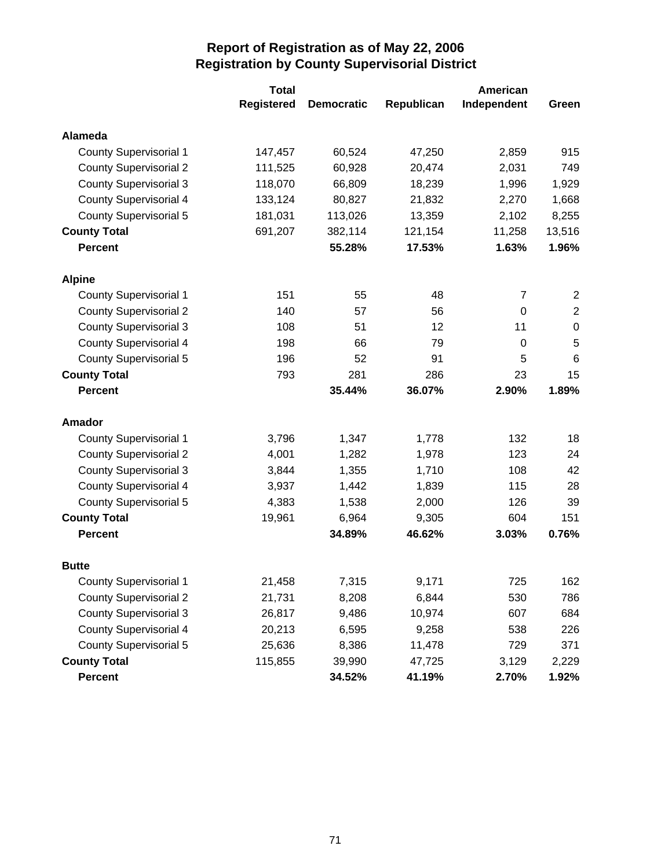|                               | <b>Total</b>      |                   | American   |             |                  |  |
|-------------------------------|-------------------|-------------------|------------|-------------|------------------|--|
|                               | <b>Registered</b> | <b>Democratic</b> | Republican | Independent | Green            |  |
| <b>Alameda</b>                |                   |                   |            |             |                  |  |
| <b>County Supervisorial 1</b> | 147,457           | 60,524            | 47,250     | 2,859       | 915              |  |
| <b>County Supervisorial 2</b> | 111,525           | 60,928            | 20,474     | 2,031       | 749              |  |
| <b>County Supervisorial 3</b> | 118,070           | 66,809            | 18,239     | 1,996       | 1,929            |  |
| <b>County Supervisorial 4</b> | 133,124           | 80,827            | 21,832     | 2,270       | 1,668            |  |
| <b>County Supervisorial 5</b> | 181,031           | 113,026           | 13,359     | 2,102       | 8,255            |  |
| <b>County Total</b>           | 691,207           | 382,114           | 121,154    | 11,258      | 13,516           |  |
| <b>Percent</b>                |                   | 55.28%            | 17.53%     | 1.63%       | 1.96%            |  |
| <b>Alpine</b>                 |                   |                   |            |             |                  |  |
| <b>County Supervisorial 1</b> | 151               | 55                | 48         | 7           | 2                |  |
| <b>County Supervisorial 2</b> | 140               | 57                | 56         | 0           | $\mathbf 2$      |  |
| <b>County Supervisorial 3</b> | 108               | 51                | 12         | 11          | $\boldsymbol{0}$ |  |
| <b>County Supervisorial 4</b> | 198               | 66                | 79         | $\mathbf 0$ | 5                |  |
| <b>County Supervisorial 5</b> | 196               | 52                | 91         | 5           | $6\phantom{1}6$  |  |
| <b>County Total</b>           | 793               | 281               | 286        | 23          | 15               |  |
| <b>Percent</b>                |                   | 35.44%            | 36.07%     | 2.90%       | 1.89%            |  |
| Amador                        |                   |                   |            |             |                  |  |
| <b>County Supervisorial 1</b> | 3,796             | 1,347             | 1,778      | 132         | 18               |  |
| <b>County Supervisorial 2</b> | 4,001             | 1,282             | 1,978      | 123         | 24               |  |
| <b>County Supervisorial 3</b> | 3,844             | 1,355             | 1,710      | 108         | 42               |  |
| <b>County Supervisorial 4</b> | 3,937             | 1,442             | 1,839      | 115         | 28               |  |
| <b>County Supervisorial 5</b> | 4,383             | 1,538             | 2,000      | 126         | 39               |  |
| <b>County Total</b>           | 19,961            | 6,964             | 9,305      | 604         | 151              |  |
| <b>Percent</b>                |                   | 34.89%            | 46.62%     | 3.03%       | 0.76%            |  |
| <b>Butte</b>                  |                   |                   |            |             |                  |  |
| <b>County Supervisorial 1</b> | 21,458            | 7,315             | 9,171      | 725         | 162              |  |
| <b>County Supervisorial 2</b> | 21,731            | 8,208             | 6,844      | 530         | 786              |  |
| <b>County Supervisorial 3</b> | 26,817            | 9,486             | 10,974     | 607         | 684              |  |
| <b>County Supervisorial 4</b> | 20,213            | 6,595             | 9,258      | 538         | 226              |  |
| <b>County Supervisorial 5</b> | 25,636            | 8,386             | 11,478     | 729         | 371              |  |
| <b>County Total</b>           | 115,855           | 39,990            | 47,725     | 3,129       | 2,229            |  |
| Percent                       |                   | 34.52%            | 41.19%     | 2.70%       | 1.92%            |  |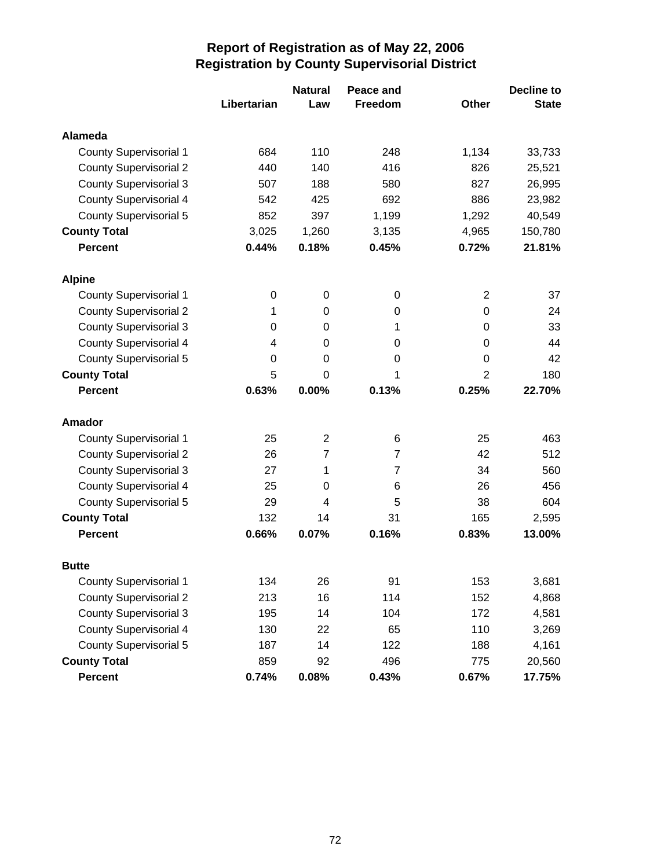|                               |             | <b>Natural</b>   | Peace and      |                | <b>Decline to</b> |
|-------------------------------|-------------|------------------|----------------|----------------|-------------------|
|                               | Libertarian | Law              | Freedom        | <b>Other</b>   | <b>State</b>      |
| Alameda                       |             |                  |                |                |                   |
| <b>County Supervisorial 1</b> | 684         | 110              | 248            | 1,134          | 33,733            |
| <b>County Supervisorial 2</b> | 440         | 140              | 416            | 826            | 25,521            |
| <b>County Supervisorial 3</b> | 507         | 188              | 580            | 827            | 26,995            |
| <b>County Supervisorial 4</b> | 542         | 425              | 692            | 886            | 23,982            |
| <b>County Supervisorial 5</b> | 852         | 397              | 1,199          | 1,292          | 40,549            |
| <b>County Total</b>           | 3,025       | 1,260            | 3,135          | 4,965          | 150,780           |
| <b>Percent</b>                | 0.44%       | 0.18%            | 0.45%          | 0.72%          | 21.81%            |
| <b>Alpine</b>                 |             |                  |                |                |                   |
| <b>County Supervisorial 1</b> | $\pmb{0}$   | $\boldsymbol{0}$ | 0              | $\overline{2}$ | 37                |
| <b>County Supervisorial 2</b> | 1           | 0                | 0              | 0              | 24                |
| <b>County Supervisorial 3</b> | 0           | 0                | 1              | 0              | 33                |
| <b>County Supervisorial 4</b> | 4           | 0                | 0              | $\Omega$       | 44                |
| <b>County Supervisorial 5</b> | 0           | 0                | 0              | $\Omega$       | 42                |
| <b>County Total</b>           | 5           | 0                | 1              | $\overline{2}$ | 180               |
| <b>Percent</b>                | 0.63%       | 0.00%            | 0.13%          | 0.25%          | 22.70%            |
| <b>Amador</b>                 |             |                  |                |                |                   |
| <b>County Supervisorial 1</b> | 25          | $\overline{2}$   | 6              | 25             | 463               |
| <b>County Supervisorial 2</b> | 26          | $\overline{7}$   | $\overline{7}$ | 42             | 512               |
| <b>County Supervisorial 3</b> | 27          | 1                | $\overline{7}$ | 34             | 560               |
| <b>County Supervisorial 4</b> | 25          | 0                | 6              | 26             | 456               |
| <b>County Supervisorial 5</b> | 29          | 4                | 5              | 38             | 604               |
| <b>County Total</b>           | 132         | 14               | 31             | 165            | 2,595             |
| <b>Percent</b>                | 0.66%       | 0.07%            | 0.16%          | 0.83%          | 13.00%            |
| <b>Butte</b>                  |             |                  |                |                |                   |
| <b>County Supervisorial 1</b> | 134         | 26               | 91             | 153            | 3,681             |
| <b>County Supervisorial 2</b> | 213         | 16               | 114            | 152            | 4,868             |
| <b>County Supervisorial 3</b> | 195         | 14               | 104            | 172            | 4,581             |
| <b>County Supervisorial 4</b> | 130         | 22               | 65             | 110            | 3,269             |
| <b>County Supervisorial 5</b> | 187         | 14               | 122            | 188            | 4,161             |
| <b>County Total</b>           | 859         | 92               | 496            | 775            | 20,560            |
| Percent                       | 0.74%       | 0.08%            | 0.43%          | 0.67%          | 17.75%            |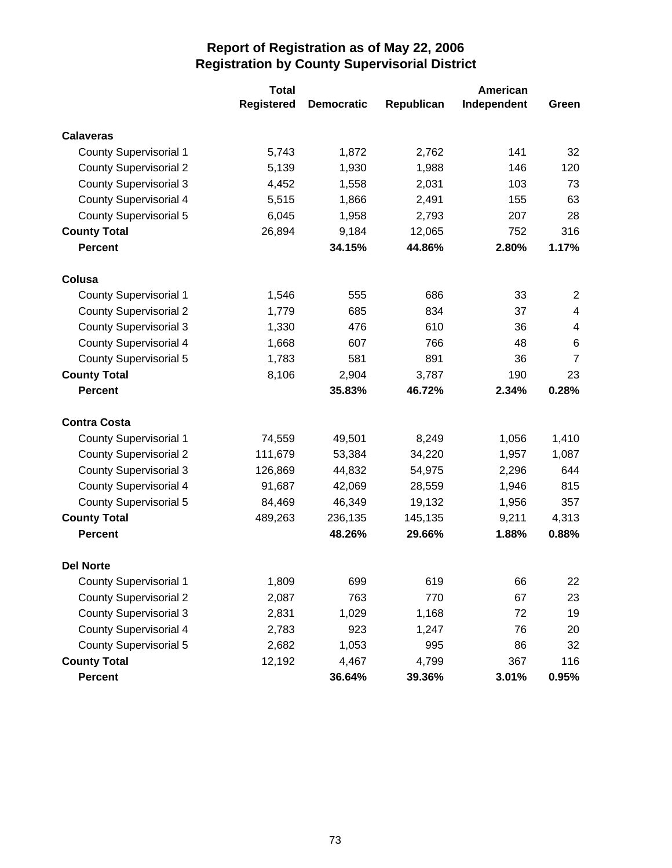|                               | <b>Total</b>      |                   | American   |             |                |
|-------------------------------|-------------------|-------------------|------------|-------------|----------------|
|                               | <b>Registered</b> | <b>Democratic</b> | Republican | Independent | Green          |
| <b>Calaveras</b>              |                   |                   |            |             |                |
| <b>County Supervisorial 1</b> | 5,743             | 1,872             | 2,762      | 141         | 32             |
| <b>County Supervisorial 2</b> | 5,139             | 1,930             | 1,988      | 146         | 120            |
| <b>County Supervisorial 3</b> | 4,452             | 1,558             | 2,031      | 103         | 73             |
| <b>County Supervisorial 4</b> | 5,515             | 1,866             | 2,491      | 155         | 63             |
| County Supervisorial 5        | 6,045             | 1,958             | 2,793      | 207         | 28             |
| <b>County Total</b>           | 26,894            | 9,184             | 12,065     | 752         | 316            |
| <b>Percent</b>                |                   | 34.15%            | 44.86%     | 2.80%       | 1.17%          |
| Colusa                        |                   |                   |            |             |                |
| <b>County Supervisorial 1</b> | 1,546             | 555               | 686        | 33          | 2              |
| <b>County Supervisorial 2</b> | 1,779             | 685               | 834        | 37          | 4              |
| <b>County Supervisorial 3</b> | 1,330             | 476               | 610        | 36          | 4              |
| <b>County Supervisorial 4</b> | 1,668             | 607               | 766        | 48          | 6              |
| <b>County Supervisorial 5</b> | 1,783             | 581               | 891        | 36          | $\overline{7}$ |
| <b>County Total</b>           | 8,106             | 2,904             | 3,787      | 190         | 23             |
| <b>Percent</b>                |                   | 35.83%            | 46.72%     | 2.34%       | 0.28%          |
| <b>Contra Costa</b>           |                   |                   |            |             |                |
| <b>County Supervisorial 1</b> | 74,559            | 49,501            | 8,249      | 1,056       | 1,410          |
| <b>County Supervisorial 2</b> | 111,679           | 53,384            | 34,220     | 1,957       | 1,087          |
| <b>County Supervisorial 3</b> | 126,869           | 44,832            | 54,975     | 2,296       | 644            |
| <b>County Supervisorial 4</b> | 91,687            | 42,069            | 28,559     | 1,946       | 815            |
| <b>County Supervisorial 5</b> | 84,469            | 46,349            | 19,132     | 1,956       | 357            |
| <b>County Total</b>           | 489,263           | 236,135           | 145,135    | 9,211       | 4,313          |
| <b>Percent</b>                |                   | 48.26%            | 29.66%     | 1.88%       | 0.88%          |
| <b>Del Norte</b>              |                   |                   |            |             |                |
| <b>County Supervisorial 1</b> | 1,809             | 699               | 619        | 66          | 22             |
| <b>County Supervisorial 2</b> | 2,087             | 763               | 770        | 67          | 23             |
| <b>County Supervisorial 3</b> | 2,831             | 1,029             | 1,168      | 72          | 19             |
| <b>County Supervisorial 4</b> | 2,783             | 923               | 1,247      | 76          | 20             |
| <b>County Supervisorial 5</b> | 2,682             | 1,053             | 995        | 86          | 32             |
| <b>County Total</b>           | 12,192            | 4,467             | 4,799      | 367         | 116            |
| Percent                       |                   | 36.64%            | 39.36%     | 3.01%       | 0.95%          |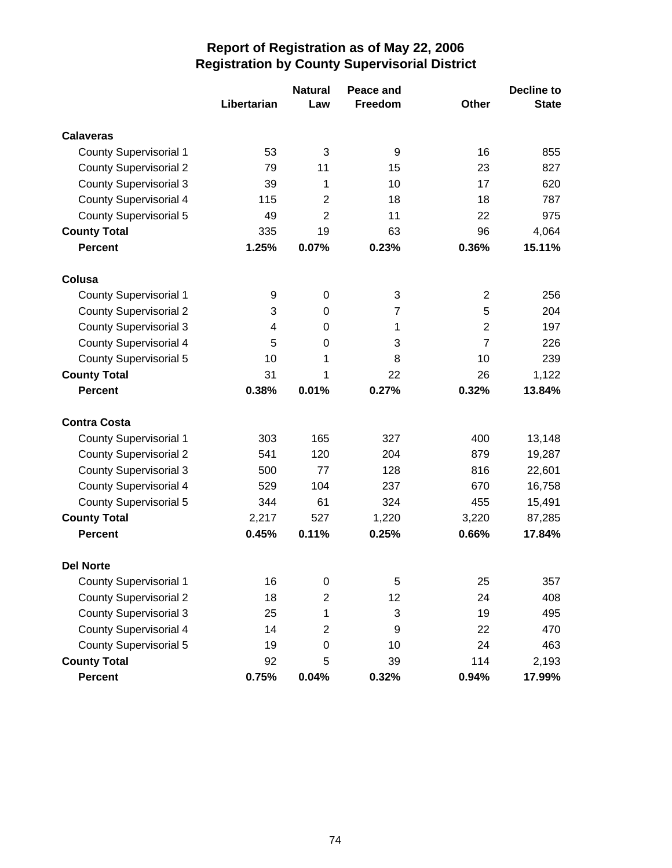|                               |             | <b>Natural</b>          | Peace and      |                | <b>Decline to</b> |
|-------------------------------|-------------|-------------------------|----------------|----------------|-------------------|
|                               | Libertarian | Law                     | Freedom        | <b>Other</b>   | <b>State</b>      |
| <b>Calaveras</b>              |             |                         |                |                |                   |
| <b>County Supervisorial 1</b> | 53          | 3                       | 9              | 16             | 855               |
| <b>County Supervisorial 2</b> | 79          | 11                      | 15             | 23             | 827               |
| <b>County Supervisorial 3</b> | 39          | 1                       | 10             | 17             | 620               |
| <b>County Supervisorial 4</b> | 115         | $\overline{2}$          | 18             | 18             | 787               |
| <b>County Supervisorial 5</b> | 49          | $\overline{2}$          | 11             | 22             | 975               |
| <b>County Total</b>           | 335         | 19                      | 63             | 96             | 4,064             |
| <b>Percent</b>                | 1.25%       | 0.07%                   | 0.23%          | 0.36%          | 15.11%            |
| Colusa                        |             |                         |                |                |                   |
| <b>County Supervisorial 1</b> | 9           | 0                       | 3              | $\overline{2}$ | 256               |
| <b>County Supervisorial 2</b> | 3           | 0                       | $\overline{7}$ | 5              | 204               |
| <b>County Supervisorial 3</b> | 4           | 0                       | 1              | $\overline{2}$ | 197               |
| <b>County Supervisorial 4</b> | 5           | $\Omega$                | 3              | $\overline{7}$ | 226               |
| <b>County Supervisorial 5</b> | 10          | 1                       | 8              | 10             | 239               |
| <b>County Total</b>           | 31          | 1                       | 22             | 26             | 1,122             |
| <b>Percent</b>                | 0.38%       | 0.01%                   | 0.27%          | 0.32%          | 13.84%            |
| <b>Contra Costa</b>           |             |                         |                |                |                   |
| <b>County Supervisorial 1</b> | 303         | 165                     | 327            | 400            | 13,148            |
| <b>County Supervisorial 2</b> | 541         | 120                     | 204            | 879            | 19,287            |
| <b>County Supervisorial 3</b> | 500         | 77                      | 128            | 816            | 22,601            |
| <b>County Supervisorial 4</b> | 529         | 104                     | 237            | 670            | 16,758            |
| <b>County Supervisorial 5</b> | 344         | 61                      | 324            | 455            | 15,491            |
| <b>County Total</b>           | 2,217       | 527                     | 1,220          | 3,220          | 87,285            |
| <b>Percent</b>                | 0.45%       | 0.11%                   | 0.25%          | 0.66%          | 17.84%            |
| <b>Del Norte</b>              |             |                         |                |                |                   |
| <b>County Supervisorial 1</b> | 16          | $\pmb{0}$               | 5              | 25             | 357               |
| <b>County Supervisorial 2</b> | 18          | $\overline{c}$          | 12             | 24             | 408               |
| <b>County Supervisorial 3</b> | 25          | 1                       | 3              | 19             | 495               |
| <b>County Supervisorial 4</b> | 14          | $\overline{\mathbf{c}}$ | 9              | 22             | 470               |
| <b>County Supervisorial 5</b> | 19          | $\boldsymbol{0}$        | 10             | 24             | 463               |
| <b>County Total</b>           | 92          | 5                       | 39             | 114            | 2,193             |
| <b>Percent</b>                | 0.75%       | 0.04%                   | 0.32%          | 0.94%          | 17.99%            |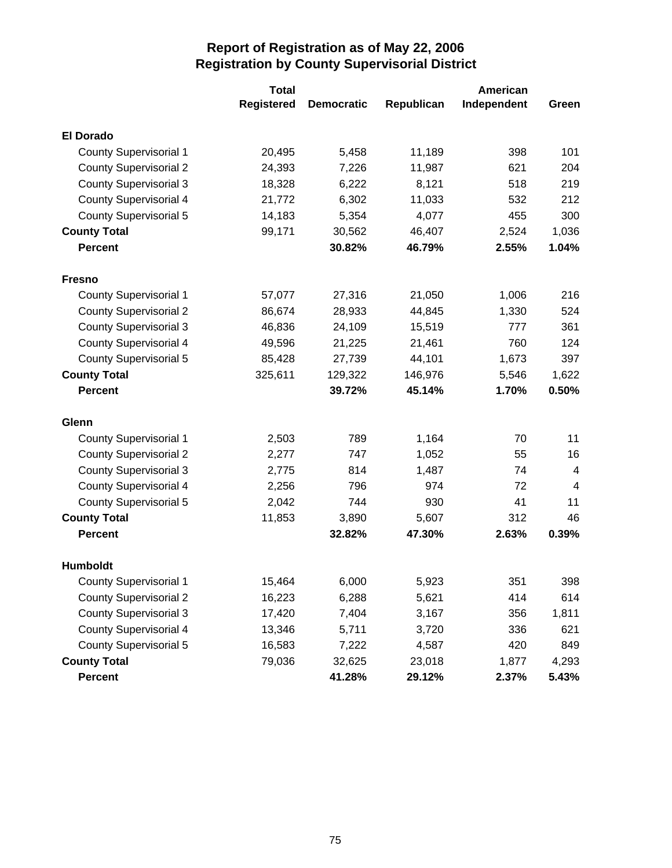|                               | <b>Total</b>      | American          |            |             |       |
|-------------------------------|-------------------|-------------------|------------|-------------|-------|
|                               | <b>Registered</b> | <b>Democratic</b> | Republican | Independent | Green |
| <b>El Dorado</b>              |                   |                   |            |             |       |
| <b>County Supervisorial 1</b> | 20,495            | 5,458             | 11,189     | 398         | 101   |
| <b>County Supervisorial 2</b> | 24,393            | 7,226             | 11,987     | 621         | 204   |
| <b>County Supervisorial 3</b> | 18,328            | 6,222             | 8,121      | 518         | 219   |
| <b>County Supervisorial 4</b> | 21,772            | 6,302             | 11,033     | 532         | 212   |
| <b>County Supervisorial 5</b> | 14,183            | 5,354             | 4,077      | 455         | 300   |
| <b>County Total</b>           | 99,171            | 30,562            | 46,407     | 2,524       | 1,036 |
| <b>Percent</b>                |                   | 30.82%            | 46.79%     | 2.55%       | 1.04% |
| <b>Fresno</b>                 |                   |                   |            |             |       |
| <b>County Supervisorial 1</b> | 57,077            | 27,316            | 21,050     | 1,006       | 216   |
| <b>County Supervisorial 2</b> | 86,674            | 28,933            | 44,845     | 1,330       | 524   |
| <b>County Supervisorial 3</b> | 46,836            | 24,109            | 15,519     | 777         | 361   |
| <b>County Supervisorial 4</b> | 49,596            | 21,225            | 21,461     | 760         | 124   |
| County Supervisorial 5        | 85,428            | 27,739            | 44,101     | 1,673       | 397   |
| <b>County Total</b>           | 325,611           | 129,322           | 146,976    | 5,546       | 1,622 |
| <b>Percent</b>                |                   | 39.72%            | 45.14%     | 1.70%       | 0.50% |
| Glenn                         |                   |                   |            |             |       |
| <b>County Supervisorial 1</b> | 2,503             | 789               | 1,164      | 70          | 11    |
| <b>County Supervisorial 2</b> | 2,277             | 747               | 1,052      | 55          | 16    |
| <b>County Supervisorial 3</b> | 2,775             | 814               | 1,487      | 74          | 4     |
| <b>County Supervisorial 4</b> | 2,256             | 796               | 974        | 72          | 4     |
| <b>County Supervisorial 5</b> | 2,042             | 744               | 930        | 41          | 11    |
| <b>County Total</b>           | 11,853            | 3,890             | 5,607      | 312         | 46    |
| <b>Percent</b>                |                   | 32.82%            | 47.30%     | 2.63%       | 0.39% |
| <b>Humboldt</b>               |                   |                   |            |             |       |
| County Supervisorial 1        | 15,464            | 6,000             | 5,923      | 351         | 398   |
| <b>County Supervisorial 2</b> | 16,223            | 6,288             | 5,621      | 414         | 614   |
| <b>County Supervisorial 3</b> | 17,420            | 7,404             | 3,167      | 356         | 1,811 |
| <b>County Supervisorial 4</b> | 13,346            | 5,711             | 3,720      | 336         | 621   |
| <b>County Supervisorial 5</b> | 16,583            | 7,222             | 4,587      | 420         | 849   |
| <b>County Total</b>           | 79,036            | 32,625            | 23,018     | 1,877       | 4,293 |
| Percent                       |                   | 41.28%            | 29.12%     | 2.37%       | 5.43% |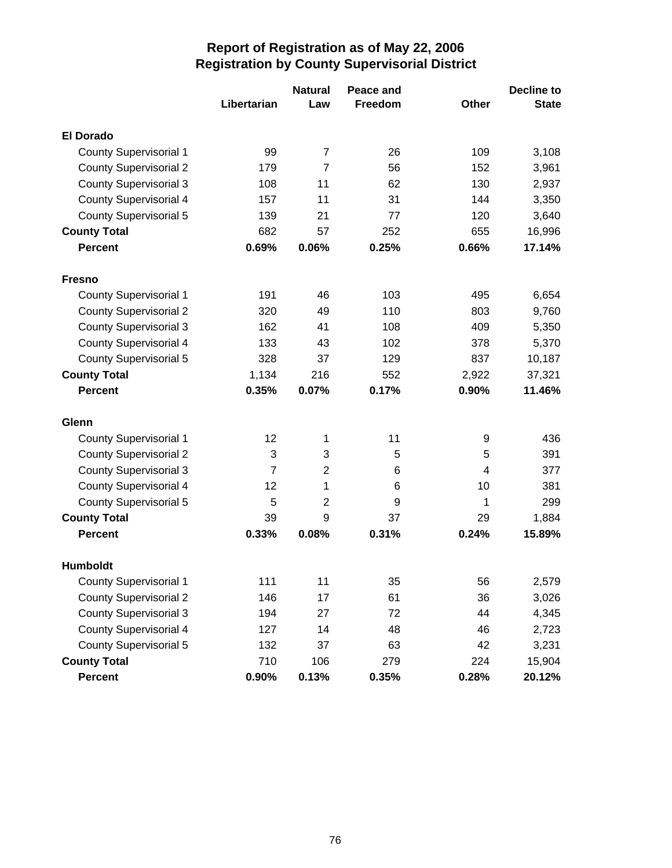|                               |                | <b>Natural</b> | Peace and      |              | <b>Decline to</b> |
|-------------------------------|----------------|----------------|----------------|--------------|-------------------|
|                               | Libertarian    | Law            | <b>Freedom</b> | <b>Other</b> | <b>State</b>      |
| <b>El Dorado</b>              |                |                |                |              |                   |
| <b>County Supervisorial 1</b> | 99             | $\overline{7}$ | 26             | 109          | 3,108             |
| <b>County Supervisorial 2</b> | 179            | $\overline{7}$ | 56             | 152          | 3,961             |
| <b>County Supervisorial 3</b> | 108            | 11             | 62             | 130          | 2,937             |
| <b>County Supervisorial 4</b> | 157            | 11             | 31             | 144          | 3,350             |
| <b>County Supervisorial 5</b> | 139            | 21             | 77             | 120          | 3,640             |
| <b>County Total</b>           | 682            | 57             | 252            | 655          | 16,996            |
| <b>Percent</b>                | 0.69%          | 0.06%          | 0.25%          | 0.66%        | 17.14%            |
| <b>Fresno</b>                 |                |                |                |              |                   |
| <b>County Supervisorial 1</b> | 191            | 46             | 103            | 495          | 6,654             |
| <b>County Supervisorial 2</b> | 320            | 49             | 110            | 803          | 9,760             |
| <b>County Supervisorial 3</b> | 162            | 41             | 108            | 409          | 5,350             |
| <b>County Supervisorial 4</b> | 133            | 43             | 102            | 378          | 5,370             |
| <b>County Supervisorial 5</b> | 328            | 37             | 129            | 837          | 10,187            |
| <b>County Total</b>           | 1,134          | 216            | 552            | 2,922        | 37,321            |
| <b>Percent</b>                | 0.35%          | 0.07%          | 0.17%          | 0.90%        | 11.46%            |
| Glenn                         |                |                |                |              |                   |
| <b>County Supervisorial 1</b> | 12             | 1              | 11             | 9            | 436               |
| <b>County Supervisorial 2</b> | 3              | 3              | 5              | 5            | 391               |
| <b>County Supervisorial 3</b> | $\overline{7}$ | $\overline{2}$ | 6              | 4            | 377               |
| <b>County Supervisorial 4</b> | 12             | 1              | 6              | 10           | 381               |
| <b>County Supervisorial 5</b> | 5              | $\overline{2}$ | 9              | 1            | 299               |
| <b>County Total</b>           | 39             | 9              | 37             | 29           | 1,884             |
| <b>Percent</b>                | 0.33%          | 0.08%          | 0.31%          | 0.24%        | 15.89%            |
| <b>Humboldt</b>               |                |                |                |              |                   |
| <b>County Supervisorial 1</b> | 111            | 11             | 35             | 56           | 2,579             |
| <b>County Supervisorial 2</b> | 146            | 17             | 61             | 36           | 3,026             |
| <b>County Supervisorial 3</b> | 194            | 27             | 72             | 44           | 4,345             |
| <b>County Supervisorial 4</b> | 127            | 14             | 48             | 46           | 2,723             |
| <b>County Supervisorial 5</b> | 132            | 37             | 63             | 42           | 3,231             |
| <b>County Total</b>           | 710            | 106            | 279            | 224          | 15,904            |
| Percent                       | 0.90%          | 0.13%          | 0.35%          | 0.28%        | 20.12%            |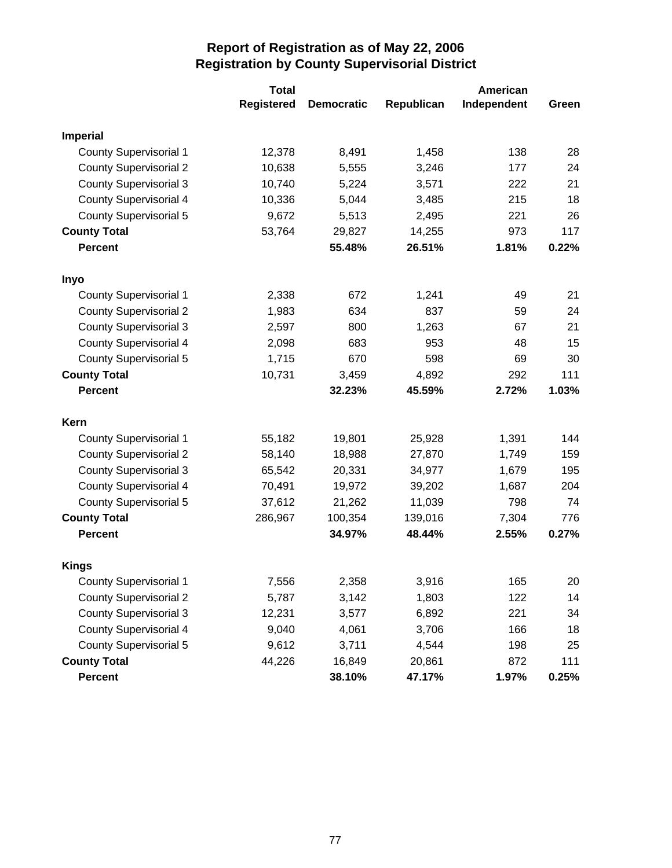|                               | <b>Total</b>      |                   | American   |             |       |  |
|-------------------------------|-------------------|-------------------|------------|-------------|-------|--|
|                               | <b>Registered</b> | <b>Democratic</b> | Republican | Independent | Green |  |
| <b>Imperial</b>               |                   |                   |            |             |       |  |
| <b>County Supervisorial 1</b> | 12,378            | 8,491             | 1,458      | 138         | 28    |  |
| <b>County Supervisorial 2</b> | 10,638            | 5,555             | 3,246      | 177         | 24    |  |
| <b>County Supervisorial 3</b> | 10,740            | 5,224             | 3,571      | 222         | 21    |  |
| <b>County Supervisorial 4</b> | 10,336            | 5,044             | 3,485      | 215         | 18    |  |
| County Supervisorial 5        | 9,672             | 5,513             | 2,495      | 221         | 26    |  |
| <b>County Total</b>           | 53,764            | 29,827            | 14,255     | 973         | 117   |  |
| <b>Percent</b>                |                   | 55.48%            | 26.51%     | 1.81%       | 0.22% |  |
| Inyo                          |                   |                   |            |             |       |  |
| <b>County Supervisorial 1</b> | 2,338             | 672               | 1,241      | 49          | 21    |  |
| <b>County Supervisorial 2</b> | 1,983             | 634               | 837        | 59          | 24    |  |
| <b>County Supervisorial 3</b> | 2,597             | 800               | 1,263      | 67          | 21    |  |
| County Supervisorial 4        | 2,098             | 683               | 953        | 48          | 15    |  |
| <b>County Supervisorial 5</b> | 1,715             | 670               | 598        | 69          | 30    |  |
| <b>County Total</b>           | 10,731            | 3,459             | 4,892      | 292         | 111   |  |
| <b>Percent</b>                |                   | 32.23%            | 45.59%     | 2.72%       | 1.03% |  |
| Kern                          |                   |                   |            |             |       |  |
| <b>County Supervisorial 1</b> | 55,182            | 19,801            | 25,928     | 1,391       | 144   |  |
| <b>County Supervisorial 2</b> | 58,140            | 18,988            | 27,870     | 1,749       | 159   |  |
| <b>County Supervisorial 3</b> | 65,542            | 20,331            | 34,977     | 1,679       | 195   |  |
| <b>County Supervisorial 4</b> | 70,491            | 19,972            | 39,202     | 1,687       | 204   |  |
| <b>County Supervisorial 5</b> | 37,612            | 21,262            | 11,039     | 798         | 74    |  |
| <b>County Total</b>           | 286,967           | 100,354           | 139,016    | 7,304       | 776   |  |
| <b>Percent</b>                |                   | 34.97%            | 48.44%     | 2.55%       | 0.27% |  |
| <b>Kings</b>                  |                   |                   |            |             |       |  |
| <b>County Supervisorial 1</b> | 7,556             | 2,358             | 3,916      | 165         | 20    |  |
| <b>County Supervisorial 2</b> | 5,787             | 3,142             | 1,803      | 122         | 14    |  |
| <b>County Supervisorial 3</b> | 12,231            | 3,577             | 6,892      | 221         | 34    |  |
| County Supervisorial 4        | 9,040             | 4,061             | 3,706      | 166         | 18    |  |
| <b>County Supervisorial 5</b> | 9,612             | 3,711             | 4,544      | 198         | 25    |  |
| <b>County Total</b>           | 44,226            | 16,849            | 20,861     | 872         | 111   |  |
| Percent                       |                   | 38.10%            | 47.17%     | 1.97%       | 0.25% |  |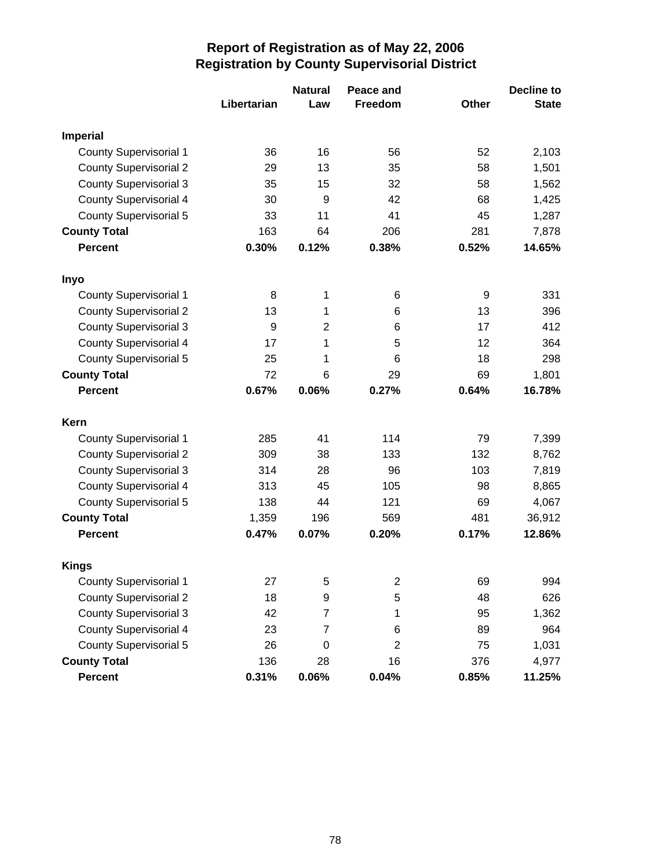|                               |             | <b>Natural</b> | Peace and        |       | <b>Decline to</b> |
|-------------------------------|-------------|----------------|------------------|-------|-------------------|
|                               | Libertarian | Law            | <b>Freedom</b>   | Other | <b>State</b>      |
| <b>Imperial</b>               |             |                |                  |       |                   |
| <b>County Supervisorial 1</b> | 36          | 16             | 56               | 52    | 2,103             |
| <b>County Supervisorial 2</b> | 29          | 13             | 35               | 58    | 1,501             |
| <b>County Supervisorial 3</b> | 35          | 15             | 32               | 58    | 1,562             |
| <b>County Supervisorial 4</b> | 30          | 9              | 42               | 68    | 1,425             |
| <b>County Supervisorial 5</b> | 33          | 11             | 41               | 45    | 1,287             |
| <b>County Total</b>           | 163         | 64             | 206              | 281   | 7,878             |
| <b>Percent</b>                | 0.30%       | 0.12%          | 0.38%            | 0.52% | 14.65%            |
| Inyo                          |             |                |                  |       |                   |
| <b>County Supervisorial 1</b> | 8           | 1              | 6                | 9     | 331               |
| <b>County Supervisorial 2</b> | 13          | 1              | 6                | 13    | 396               |
| <b>County Supervisorial 3</b> | 9           | $\overline{2}$ | 6                | 17    | 412               |
| <b>County Supervisorial 4</b> | 17          | 1              | 5                | 12    | 364               |
| <b>County Supervisorial 5</b> | 25          | 1              | 6                | 18    | 298               |
| <b>County Total</b>           | 72          | 6              | 29               | 69    | 1,801             |
| <b>Percent</b>                | 0.67%       | 0.06%          | 0.27%            | 0.64% | 16.78%            |
| Kern                          |             |                |                  |       |                   |
| <b>County Supervisorial 1</b> | 285         | 41             | 114              | 79    | 7,399             |
| <b>County Supervisorial 2</b> | 309         | 38             | 133              | 132   | 8,762             |
| <b>County Supervisorial 3</b> | 314         | 28             | 96               | 103   | 7,819             |
| <b>County Supervisorial 4</b> | 313         | 45             | 105              | 98    | 8,865             |
| <b>County Supervisorial 5</b> | 138         | 44             | 121              | 69    | 4,067             |
| <b>County Total</b>           | 1,359       | 196            | 569              | 481   | 36,912            |
| <b>Percent</b>                | 0.47%       | 0.07%          | 0.20%            | 0.17% | 12.86%            |
| <b>Kings</b>                  |             |                |                  |       |                   |
| County Supervisorial 1        | 27          | 5              | $\boldsymbol{2}$ | 69    | 994               |
| <b>County Supervisorial 2</b> | 18          | 9              | 5                | 48    | 626               |
| <b>County Supervisorial 3</b> | 42          | $\overline{7}$ | 1                | 95    | 1,362             |
| <b>County Supervisorial 4</b> | 23          | 7              | 6                | 89    | 964               |
| <b>County Supervisorial 5</b> | 26          | $\mathbf 0$    | 2                | 75    | 1,031             |
| <b>County Total</b>           | 136         | 28             | 16               | 376   | 4,977             |
| Percent                       | 0.31%       | 0.06%          | 0.04%            | 0.85% | 11.25%            |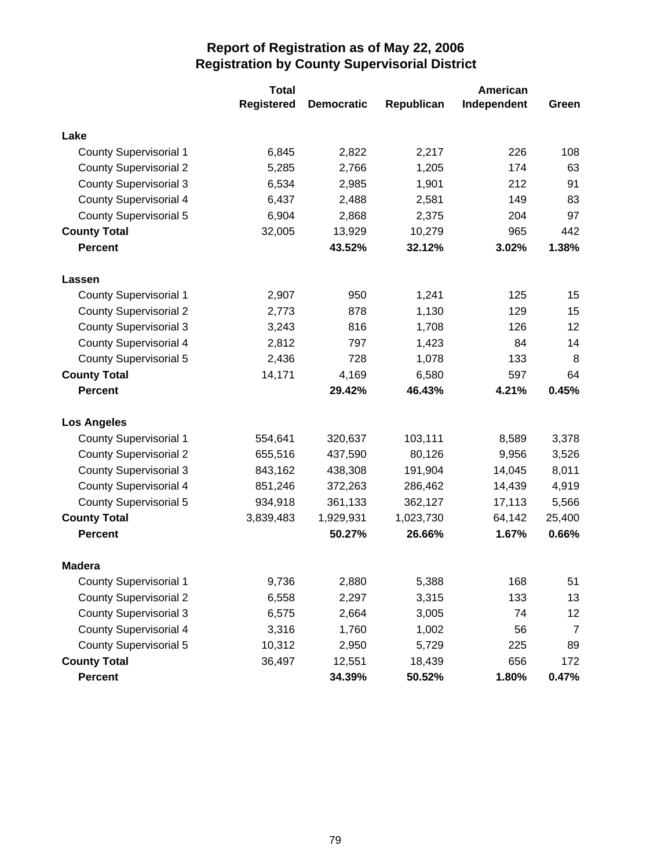|                               | <b>Total</b>      | American          |            |             |                |
|-------------------------------|-------------------|-------------------|------------|-------------|----------------|
|                               | <b>Registered</b> | <b>Democratic</b> | Republican | Independent | Green          |
| Lake                          |                   |                   |            |             |                |
| <b>County Supervisorial 1</b> | 6,845             | 2,822             | 2,217      | 226         | 108            |
| <b>County Supervisorial 2</b> | 5,285             | 2,766             | 1,205      | 174         | 63             |
| <b>County Supervisorial 3</b> | 6,534             | 2,985             | 1,901      | 212         | 91             |
| <b>County Supervisorial 4</b> | 6,437             | 2,488             | 2,581      | 149         | 83             |
| <b>County Supervisorial 5</b> | 6,904             | 2,868             | 2,375      | 204         | 97             |
| <b>County Total</b>           | 32,005            | 13,929            | 10,279     | 965         | 442            |
| <b>Percent</b>                |                   | 43.52%            | 32.12%     | 3.02%       | 1.38%          |
| Lassen                        |                   |                   |            |             |                |
| <b>County Supervisorial 1</b> | 2,907             | 950               | 1,241      | 125         | 15             |
| <b>County Supervisorial 2</b> | 2,773             | 878               | 1,130      | 129         | 15             |
| <b>County Supervisorial 3</b> | 3,243             | 816               | 1,708      | 126         | 12             |
| <b>County Supervisorial 4</b> | 2,812             | 797               | 1,423      | 84          | 14             |
| <b>County Supervisorial 5</b> | 2,436             | 728               | 1,078      | 133         | 8              |
| <b>County Total</b>           | 14,171            | 4,169             | 6,580      | 597         | 64             |
| <b>Percent</b>                |                   | 29.42%            | 46.43%     | 4.21%       | 0.45%          |
| <b>Los Angeles</b>            |                   |                   |            |             |                |
| <b>County Supervisorial 1</b> | 554,641           | 320,637           | 103,111    | 8,589       | 3,378          |
| <b>County Supervisorial 2</b> | 655,516           | 437,590           | 80,126     | 9,956       | 3,526          |
| <b>County Supervisorial 3</b> | 843,162           | 438,308           | 191,904    | 14,045      | 8,011          |
| <b>County Supervisorial 4</b> | 851,246           | 372,263           | 286,462    | 14,439      | 4,919          |
| <b>County Supervisorial 5</b> | 934,918           | 361,133           | 362,127    | 17,113      | 5,566          |
| <b>County Total</b>           | 3,839,483         | 1,929,931         | 1,023,730  | 64,142      | 25,400         |
| <b>Percent</b>                |                   | 50.27%            | 26.66%     | 1.67%       | 0.66%          |
| <b>Madera</b>                 |                   |                   |            |             |                |
| <b>County Supervisorial 1</b> | 9,736             | 2,880             | 5,388      | 168         | 51             |
| <b>County Supervisorial 2</b> | 6,558             | 2,297             | 3,315      | 133         | 13             |
| <b>County Supervisorial 3</b> | 6,575             | 2,664             | 3,005      | 74          | 12             |
| <b>County Supervisorial 4</b> | 3,316             | 1,760             | 1,002      | 56          | $\overline{7}$ |
| <b>County Supervisorial 5</b> | 10,312            | 2,950             | 5,729      | 225         | 89             |
| <b>County Total</b>           | 36,497            | 12,551            | 18,439     | 656         | 172            |
| Percent                       |                   | 34.39%            | 50.52%     | 1.80%       | 0.47%          |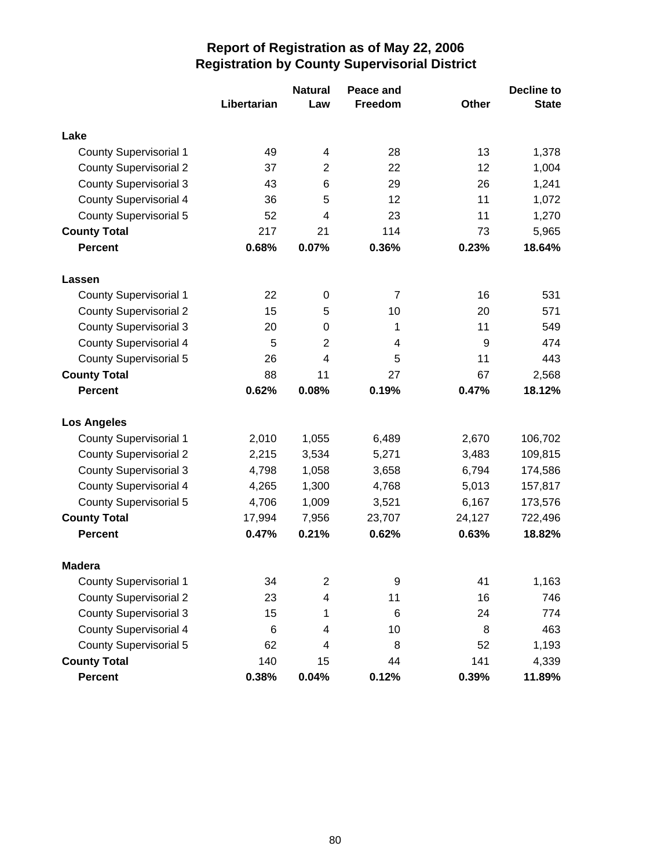|                               |             | <b>Natural</b>          | Peace and      |        | <b>Decline to</b> |
|-------------------------------|-------------|-------------------------|----------------|--------|-------------------|
|                               | Libertarian | Law                     | <b>Freedom</b> | Other  | <b>State</b>      |
| Lake                          |             |                         |                |        |                   |
| <b>County Supervisorial 1</b> | 49          | 4                       | 28             | 13     | 1,378             |
| <b>County Supervisorial 2</b> | 37          | $\overline{2}$          | 22             | 12     | 1,004             |
| <b>County Supervisorial 3</b> | 43          | 6                       | 29             | 26     | 1,241             |
| <b>County Supervisorial 4</b> | 36          | 5                       | 12             | 11     | 1,072             |
| <b>County Supervisorial 5</b> | 52          | 4                       | 23             | 11     | 1,270             |
| <b>County Total</b>           | 217         | 21                      | 114            | 73     | 5,965             |
| <b>Percent</b>                | 0.68%       | 0.07%                   | 0.36%          | 0.23%  | 18.64%            |
| Lassen                        |             |                         |                |        |                   |
| <b>County Supervisorial 1</b> | 22          | $\boldsymbol{0}$        | 7              | 16     | 531               |
| <b>County Supervisorial 2</b> | 15          | 5                       | 10             | 20     | 571               |
| <b>County Supervisorial 3</b> | 20          | 0                       | 1              | 11     | 549               |
| <b>County Supervisorial 4</b> | 5           | $\overline{2}$          | 4              | 9      | 474               |
| <b>County Supervisorial 5</b> | 26          | 4                       | 5              | 11     | 443               |
| <b>County Total</b>           | 88          | 11                      | 27             | 67     | 2,568             |
| <b>Percent</b>                | 0.62%       | 0.08%                   | 0.19%          | 0.47%  | 18.12%            |
| <b>Los Angeles</b>            |             |                         |                |        |                   |
| <b>County Supervisorial 1</b> | 2,010       | 1,055                   | 6,489          | 2,670  | 106,702           |
| <b>County Supervisorial 2</b> | 2,215       | 3,534                   | 5,271          | 3,483  | 109,815           |
| <b>County Supervisorial 3</b> | 4,798       | 1,058                   | 3,658          | 6,794  | 174,586           |
| County Supervisorial 4        | 4,265       | 1,300                   | 4,768          | 5,013  | 157,817           |
| <b>County Supervisorial 5</b> | 4,706       | 1,009                   | 3,521          | 6,167  | 173,576           |
| <b>County Total</b>           | 17,994      | 7,956                   | 23,707         | 24,127 | 722,496           |
| <b>Percent</b>                | 0.47%       | 0.21%                   | 0.62%          | 0.63%  | 18.82%            |
| <b>Madera</b>                 |             |                         |                |        |                   |
| <b>County Supervisorial 1</b> | 34          | $\overline{\mathbf{c}}$ | 9              | 41     | 1,163             |
| <b>County Supervisorial 2</b> | 23          | 4                       | 11             | 16     | 746               |
| <b>County Supervisorial 3</b> | 15          | 1                       | 6              | 24     | 774               |
| <b>County Supervisorial 4</b> | 6           | 4                       | 10             | 8      | 463               |
| <b>County Supervisorial 5</b> | 62          | 4                       | 8              | 52     | 1,193             |
| <b>County Total</b>           | 140         | 15                      | 44             | 141    | 4,339             |
| <b>Percent</b>                | 0.38%       | 0.04%                   | 0.12%          | 0.39%  | 11.89%            |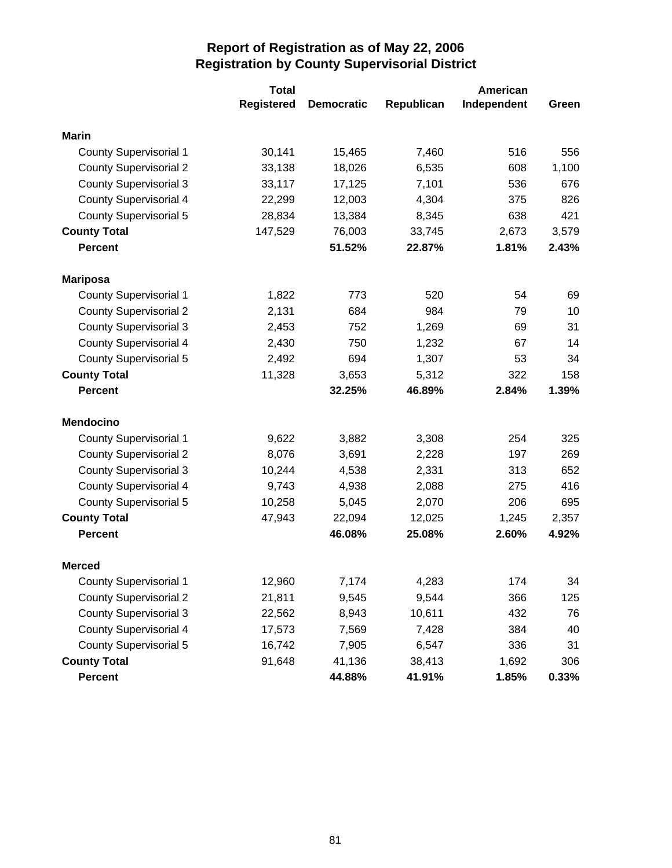|                               | <b>Total</b>      |                   | American   |             |       |  |
|-------------------------------|-------------------|-------------------|------------|-------------|-------|--|
|                               | <b>Registered</b> | <b>Democratic</b> | Republican | Independent | Green |  |
| <b>Marin</b>                  |                   |                   |            |             |       |  |
| <b>County Supervisorial 1</b> | 30,141            | 15,465            | 7,460      | 516         | 556   |  |
| <b>County Supervisorial 2</b> | 33,138            | 18,026            | 6,535      | 608         | 1,100 |  |
| <b>County Supervisorial 3</b> | 33,117            | 17,125            | 7,101      | 536         | 676   |  |
| <b>County Supervisorial 4</b> | 22,299            | 12,003            | 4,304      | 375         | 826   |  |
| County Supervisorial 5        | 28,834            | 13,384            | 8,345      | 638         | 421   |  |
| <b>County Total</b>           | 147,529           | 76,003            | 33,745     | 2,673       | 3,579 |  |
| <b>Percent</b>                |                   | 51.52%            | 22.87%     | 1.81%       | 2.43% |  |
| <b>Mariposa</b>               |                   |                   |            |             |       |  |
| <b>County Supervisorial 1</b> | 1,822             | 773               | 520        | 54          | 69    |  |
| <b>County Supervisorial 2</b> | 2,131             | 684               | 984        | 79          | 10    |  |
| <b>County Supervisorial 3</b> | 2,453             | 752               | 1,269      | 69          | 31    |  |
| <b>County Supervisorial 4</b> | 2,430             | 750               | 1,232      | 67          | 14    |  |
| <b>County Supervisorial 5</b> | 2,492             | 694               | 1,307      | 53          | 34    |  |
| <b>County Total</b>           | 11,328            | 3,653             | 5,312      | 322         | 158   |  |
| <b>Percent</b>                |                   | 32.25%            | 46.89%     | 2.84%       | 1.39% |  |
| <b>Mendocino</b>              |                   |                   |            |             |       |  |
| <b>County Supervisorial 1</b> | 9,622             | 3,882             | 3,308      | 254         | 325   |  |
| <b>County Supervisorial 2</b> | 8,076             | 3,691             | 2,228      | 197         | 269   |  |
| <b>County Supervisorial 3</b> | 10,244            | 4,538             | 2,331      | 313         | 652   |  |
| <b>County Supervisorial 4</b> | 9,743             | 4,938             | 2,088      | 275         | 416   |  |
| <b>County Supervisorial 5</b> | 10,258            | 5,045             | 2,070      | 206         | 695   |  |
| <b>County Total</b>           | 47,943            | 22,094            | 12,025     | 1,245       | 2,357 |  |
| <b>Percent</b>                |                   | 46.08%            | 25.08%     | 2.60%       | 4.92% |  |
| <b>Merced</b>                 |                   |                   |            |             |       |  |
| <b>County Supervisorial 1</b> | 12,960            | 7,174             | 4,283      | 174         | 34    |  |
| <b>County Supervisorial 2</b> | 21,811            | 9,545             | 9,544      | 366         | 125   |  |
| <b>County Supervisorial 3</b> | 22,562            | 8,943             | 10,611     | 432         | 76    |  |
| <b>County Supervisorial 4</b> | 17,573            | 7,569             | 7,428      | 384         | 40    |  |
| <b>County Supervisorial 5</b> | 16,742            | 7,905             | 6,547      | 336         | 31    |  |
| <b>County Total</b>           | 91,648            | 41,136            | 38,413     | 1,692       | 306   |  |
| Percent                       |                   | 44.88%            | 41.91%     | 1.85%       | 0.33% |  |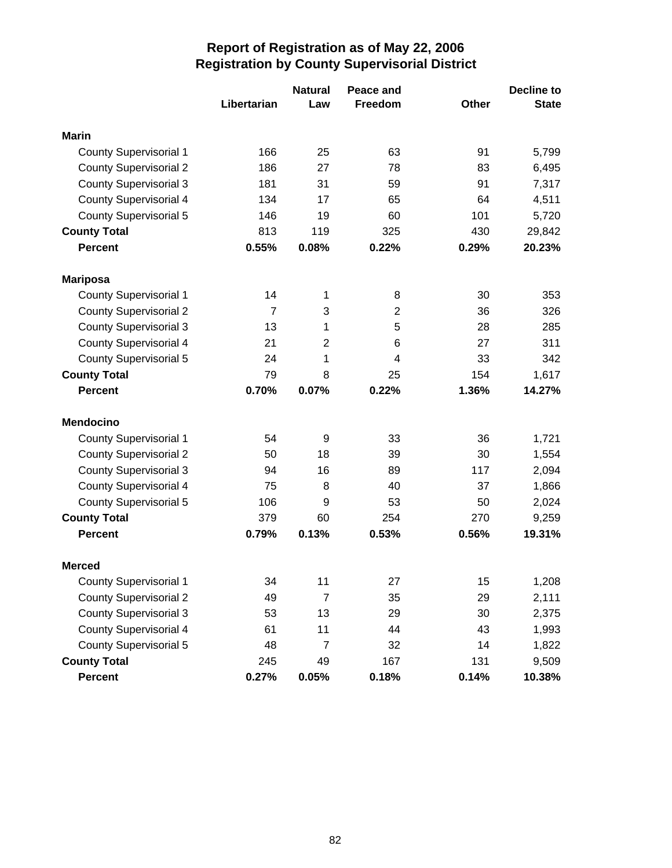|                               |                | <b>Natural</b> | Peace and      |              | <b>Decline to</b> |
|-------------------------------|----------------|----------------|----------------|--------------|-------------------|
|                               | Libertarian    | Law            | Freedom        | <b>Other</b> | <b>State</b>      |
| <b>Marin</b>                  |                |                |                |              |                   |
| <b>County Supervisorial 1</b> | 166            | 25             | 63             | 91           | 5,799             |
| <b>County Supervisorial 2</b> | 186            | 27             | 78             | 83           | 6,495             |
| <b>County Supervisorial 3</b> | 181            | 31             | 59             | 91           | 7,317             |
| <b>County Supervisorial 4</b> | 134            | 17             | 65             | 64           | 4,511             |
| <b>County Supervisorial 5</b> | 146            | 19             | 60             | 101          | 5,720             |
| <b>County Total</b>           | 813            | 119            | 325            | 430          | 29,842            |
| <b>Percent</b>                | 0.55%          | 0.08%          | 0.22%          | 0.29%        | 20.23%            |
| <b>Mariposa</b>               |                |                |                |              |                   |
| <b>County Supervisorial 1</b> | 14             | 1              | 8              | 30           | 353               |
| <b>County Supervisorial 2</b> | $\overline{7}$ | 3              | $\overline{2}$ | 36           | 326               |
| <b>County Supervisorial 3</b> | 13             | 1              | 5              | 28           | 285               |
| <b>County Supervisorial 4</b> | 21             | $\overline{2}$ | 6              | 27           | 311               |
| <b>County Supervisorial 5</b> | 24             | 1              | 4              | 33           | 342               |
| <b>County Total</b>           | 79             | 8              | 25             | 154          | 1,617             |
| <b>Percent</b>                | 0.70%          | 0.07%          | 0.22%          | 1.36%        | 14.27%            |
| <b>Mendocino</b>              |                |                |                |              |                   |
| <b>County Supervisorial 1</b> | 54             | 9              | 33             | 36           | 1,721             |
| <b>County Supervisorial 2</b> | 50             | 18             | 39             | 30           | 1,554             |
| <b>County Supervisorial 3</b> | 94             | 16             | 89             | 117          | 2,094             |
| <b>County Supervisorial 4</b> | 75             | 8              | 40             | 37           | 1,866             |
| <b>County Supervisorial 5</b> | 106            | 9              | 53             | 50           | 2,024             |
| <b>County Total</b>           | 379            | 60             | 254            | 270          | 9,259             |
| <b>Percent</b>                | 0.79%          | 0.13%          | 0.53%          | 0.56%        | 19.31%            |
| <b>Merced</b>                 |                |                |                |              |                   |
| <b>County Supervisorial 1</b> | 34             | 11             | 27             | 15           | 1,208             |
| <b>County Supervisorial 2</b> | 49             | $\overline{7}$ | 35             | 29           | 2,111             |
| <b>County Supervisorial 3</b> | 53             | 13             | 29             | 30           | 2,375             |
| <b>County Supervisorial 4</b> | 61             | 11             | 44             | 43           | 1,993             |
| <b>County Supervisorial 5</b> | 48             | $\overline{7}$ | 32             | 14           | 1,822             |
| <b>County Total</b>           | 245            | 49             | 167            | 131          | 9,509             |
| Percent                       | 0.27%          | 0.05%          | 0.18%          | 0.14%        | 10.38%            |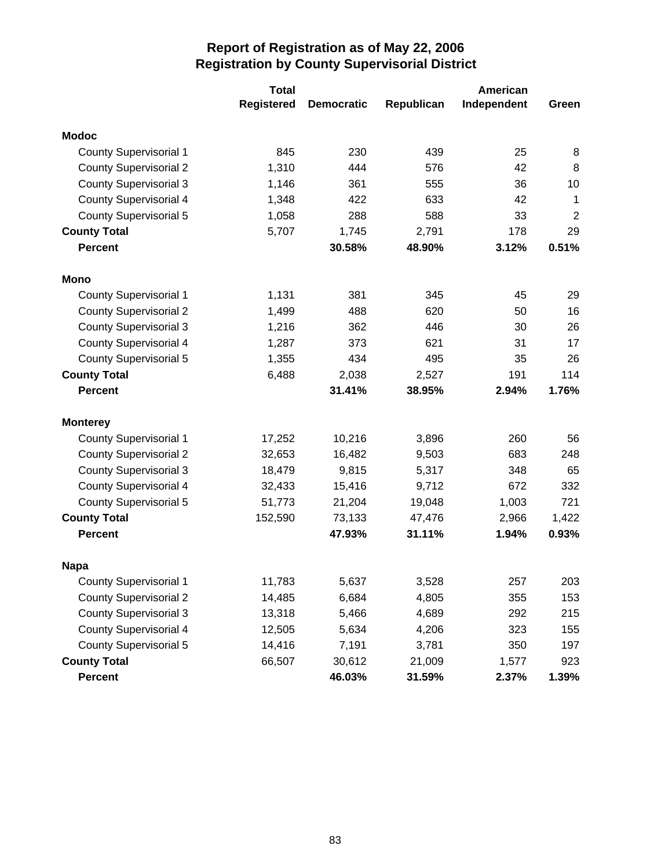|                               | <b>Total</b>      | American          |            |             |                |  |
|-------------------------------|-------------------|-------------------|------------|-------------|----------------|--|
|                               | <b>Registered</b> | <b>Democratic</b> | Republican | Independent | Green          |  |
| <b>Modoc</b>                  |                   |                   |            |             |                |  |
| <b>County Supervisorial 1</b> | 845               | 230               | 439        | 25          | 8              |  |
| <b>County Supervisorial 2</b> | 1,310             | 444               | 576        | 42          | 8              |  |
| <b>County Supervisorial 3</b> | 1,146             | 361               | 555        | 36          | 10             |  |
| <b>County Supervisorial 4</b> | 1,348             | 422               | 633        | 42          | $\mathbf 1$    |  |
| County Supervisorial 5        | 1,058             | 288               | 588        | 33          | $\overline{2}$ |  |
| <b>County Total</b>           | 5,707             | 1,745             | 2,791      | 178         | 29             |  |
| <b>Percent</b>                |                   | 30.58%            | 48.90%     | 3.12%       | 0.51%          |  |
| Mono                          |                   |                   |            |             |                |  |
| <b>County Supervisorial 1</b> | 1,131             | 381               | 345        | 45          | 29             |  |
| <b>County Supervisorial 2</b> | 1,499             | 488               | 620        | 50          | 16             |  |
| <b>County Supervisorial 3</b> | 1,216             | 362               | 446        | 30          | 26             |  |
| <b>County Supervisorial 4</b> | 1,287             | 373               | 621        | 31          | 17             |  |
| <b>County Supervisorial 5</b> | 1,355             | 434               | 495        | 35          | 26             |  |
| <b>County Total</b>           | 6,488             | 2,038             | 2,527      | 191         | 114            |  |
| <b>Percent</b>                |                   | 31.41%            | 38.95%     | 2.94%       | 1.76%          |  |
| <b>Monterey</b>               |                   |                   |            |             |                |  |
| <b>County Supervisorial 1</b> | 17,252            | 10,216            | 3,896      | 260         | 56             |  |
| <b>County Supervisorial 2</b> | 32,653            | 16,482            | 9,503      | 683         | 248            |  |
| <b>County Supervisorial 3</b> | 18,479            | 9,815             | 5,317      | 348         | 65             |  |
| <b>County Supervisorial 4</b> | 32,433            | 15,416            | 9,712      | 672         | 332            |  |
| <b>County Supervisorial 5</b> | 51,773            | 21,204            | 19,048     | 1,003       | 721            |  |
| <b>County Total</b>           | 152,590           | 73,133            | 47,476     | 2,966       | 1,422          |  |
| <b>Percent</b>                |                   | 47.93%            | 31.11%     | 1.94%       | 0.93%          |  |
| <b>Napa</b>                   |                   |                   |            |             |                |  |
| <b>County Supervisorial 1</b> | 11,783            | 5,637             | 3,528      | 257         | 203            |  |
| <b>County Supervisorial 2</b> | 14,485            | 6,684             | 4,805      | 355         | 153            |  |
| <b>County Supervisorial 3</b> | 13,318            | 5,466             | 4,689      | 292         | 215            |  |
| <b>County Supervisorial 4</b> | 12,505            | 5,634             | 4,206      | 323         | 155            |  |
| <b>County Supervisorial 5</b> | 14,416            | 7,191             | 3,781      | 350         | 197            |  |
| <b>County Total</b>           | 66,507            | 30,612            | 21,009     | 1,577       | 923            |  |
| Percent                       |                   | 46.03%            | 31.59%     | 2.37%       | 1.39%          |  |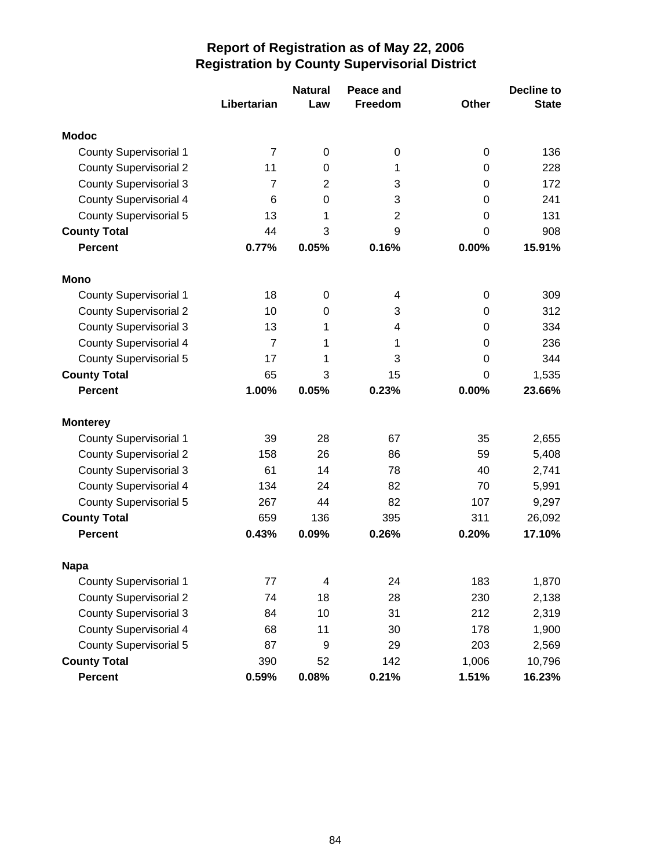|                               |                | <b>Natural</b>   | Peace and      |       | <b>Decline to</b> |
|-------------------------------|----------------|------------------|----------------|-------|-------------------|
|                               | Libertarian    | Law              | <b>Freedom</b> | Other | <b>State</b>      |
| <b>Modoc</b>                  |                |                  |                |       |                   |
| <b>County Supervisorial 1</b> | 7              | $\boldsymbol{0}$ | 0              | 0     | 136               |
| <b>County Supervisorial 2</b> | 11             | 0                | 1              | 0     | 228               |
| <b>County Supervisorial 3</b> | 7              | $\overline{2}$   | 3              | 0     | 172               |
| <b>County Supervisorial 4</b> | 6              | 0                | 3              | 0     | 241               |
| <b>County Supervisorial 5</b> | 13             | 1                | $\overline{2}$ | 0     | 131               |
| <b>County Total</b>           | 44             | 3                | 9              | 0     | 908               |
| <b>Percent</b>                | 0.77%          | 0.05%            | 0.16%          | 0.00% | 15.91%            |
| Mono                          |                |                  |                |       |                   |
| <b>County Supervisorial 1</b> | 18             | $\boldsymbol{0}$ | 4              | 0     | 309               |
| <b>County Supervisorial 2</b> | 10             | 0                | 3              | 0     | 312               |
| <b>County Supervisorial 3</b> | 13             | 1                | 4              | 0     | 334               |
| <b>County Supervisorial 4</b> | $\overline{7}$ | 1                | 1              | 0     | 236               |
| <b>County Supervisorial 5</b> | 17             | 1                | 3              | 0     | 344               |
| <b>County Total</b>           | 65             | 3                | 15             | 0     | 1,535             |
| <b>Percent</b>                | 1.00%          | 0.05%            | 0.23%          | 0.00% | 23.66%            |
| <b>Monterey</b>               |                |                  |                |       |                   |
| <b>County Supervisorial 1</b> | 39             | 28               | 67             | 35    | 2,655             |
| <b>County Supervisorial 2</b> | 158            | 26               | 86             | 59    | 5,408             |
| <b>County Supervisorial 3</b> | 61             | 14               | 78             | 40    | 2,741             |
| County Supervisorial 4        | 134            | 24               | 82             | 70    | 5,991             |
| County Supervisorial 5        | 267            | 44               | 82             | 107   | 9,297             |
| <b>County Total</b>           | 659            | 136              | 395            | 311   | 26,092            |
| <b>Percent</b>                | 0.43%          | 0.09%            | 0.26%          | 0.20% | 17.10%            |
| <b>Napa</b>                   |                |                  |                |       |                   |
| <b>County Supervisorial 1</b> | 77             | 4                | 24             | 183   | 1,870             |
| <b>County Supervisorial 2</b> | 74             | 18               | 28             | 230   | 2,138             |
| <b>County Supervisorial 3</b> | 84             | 10               | 31             | 212   | 2,319             |
| <b>County Supervisorial 4</b> | 68             | 11               | 30             | 178   | 1,900             |
| <b>County Supervisorial 5</b> | 87             | 9                | 29             | 203   | 2,569             |
| <b>County Total</b>           | 390            | 52               | 142            | 1,006 | 10,796            |
| <b>Percent</b>                | 0.59%          | 0.08%            | 0.21%          | 1.51% | 16.23%            |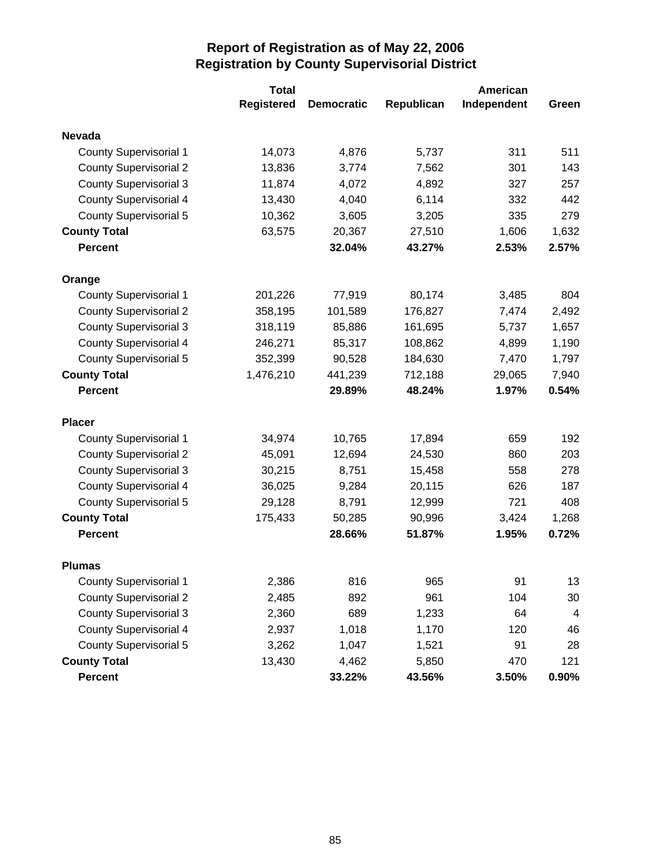|                               | <b>Total</b>      |                   | American   |             |                |
|-------------------------------|-------------------|-------------------|------------|-------------|----------------|
|                               | <b>Registered</b> | <b>Democratic</b> | Republican | Independent | Green          |
| <b>Nevada</b>                 |                   |                   |            |             |                |
| <b>County Supervisorial 1</b> | 14,073            | 4,876             | 5,737      | 311         | 511            |
| <b>County Supervisorial 2</b> | 13,836            | 3,774             | 7,562      | 301         | 143            |
| <b>County Supervisorial 3</b> | 11,874            | 4,072             | 4,892      | 327         | 257            |
| <b>County Supervisorial 4</b> | 13,430            | 4,040             | 6,114      | 332         | 442            |
| County Supervisorial 5        | 10,362            | 3,605             | 3,205      | 335         | 279            |
| <b>County Total</b>           | 63,575            | 20,367            | 27,510     | 1,606       | 1,632          |
| <b>Percent</b>                |                   | 32.04%            | 43.27%     | 2.53%       | 2.57%          |
| Orange                        |                   |                   |            |             |                |
| <b>County Supervisorial 1</b> | 201,226           | 77,919            | 80,174     | 3,485       | 804            |
| <b>County Supervisorial 2</b> | 358,195           | 101,589           | 176,827    | 7,474       | 2,492          |
| <b>County Supervisorial 3</b> | 318,119           | 85,886            | 161,695    | 5,737       | 1,657          |
| <b>County Supervisorial 4</b> | 246,271           | 85,317            | 108,862    | 4,899       | 1,190          |
| <b>County Supervisorial 5</b> | 352,399           | 90,528            | 184,630    | 7,470       | 1,797          |
| <b>County Total</b>           | 1,476,210         | 441,239           | 712,188    | 29,065      | 7,940          |
| <b>Percent</b>                |                   | 29.89%            | 48.24%     | 1.97%       | 0.54%          |
| <b>Placer</b>                 |                   |                   |            |             |                |
| <b>County Supervisorial 1</b> | 34,974            | 10,765            | 17,894     | 659         | 192            |
| <b>County Supervisorial 2</b> | 45,091            | 12,694            | 24,530     | 860         | 203            |
| <b>County Supervisorial 3</b> | 30,215            | 8,751             | 15,458     | 558         | 278            |
| <b>County Supervisorial 4</b> | 36,025            | 9,284             | 20,115     | 626         | 187            |
| <b>County Supervisorial 5</b> | 29,128            | 8,791             | 12,999     | 721         | 408            |
| <b>County Total</b>           | 175,433           | 50,285            | 90,996     | 3,424       | 1,268          |
| <b>Percent</b>                |                   | 28.66%            | 51.87%     | 1.95%       | 0.72%          |
| <b>Plumas</b>                 |                   |                   |            |             |                |
| <b>County Supervisorial 1</b> | 2,386             | 816               | 965        | 91          | 13             |
| <b>County Supervisorial 2</b> | 2,485             | 892               | 961        | 104         | 30             |
| <b>County Supervisorial 3</b> | 2,360             | 689               | 1,233      | 64          | $\overline{4}$ |
| <b>County Supervisorial 4</b> | 2,937             | 1,018             | 1,170      | 120         | 46             |
| <b>County Supervisorial 5</b> | 3,262             | 1,047             | 1,521      | 91          | 28             |
| <b>County Total</b>           | 13,430            | 4,462             | 5,850      | 470         | 121            |
| Percent                       |                   | 33.22%            | 43.56%     | 3.50%       | $0.90\%$       |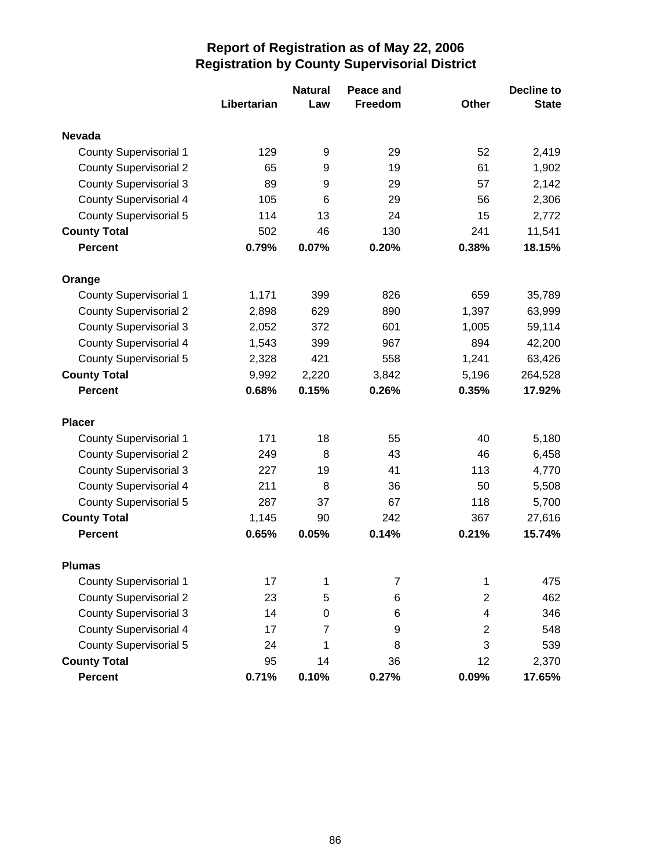|                               |             | <b>Natural</b> | Peace and      |                | <b>Decline to</b> |
|-------------------------------|-------------|----------------|----------------|----------------|-------------------|
|                               | Libertarian | Law            | <b>Freedom</b> | Other          | <b>State</b>      |
| <b>Nevada</b>                 |             |                |                |                |                   |
| <b>County Supervisorial 1</b> | 129         | 9              | 29             | 52             | 2,419             |
| <b>County Supervisorial 2</b> | 65          | 9              | 19             | 61             | 1,902             |
| <b>County Supervisorial 3</b> | 89          | 9              | 29             | 57             | 2,142             |
| <b>County Supervisorial 4</b> | 105         | 6              | 29             | 56             | 2,306             |
| <b>County Supervisorial 5</b> | 114         | 13             | 24             | 15             | 2,772             |
| <b>County Total</b>           | 502         | 46             | 130            | 241            | 11,541            |
| <b>Percent</b>                | 0.79%       | 0.07%          | 0.20%          | 0.38%          | 18.15%            |
| Orange                        |             |                |                |                |                   |
| <b>County Supervisorial 1</b> | 1,171       | 399            | 826            | 659            | 35,789            |
| <b>County Supervisorial 2</b> | 2,898       | 629            | 890            | 1,397          | 63,999            |
| <b>County Supervisorial 3</b> | 2,052       | 372            | 601            | 1,005          | 59,114            |
| <b>County Supervisorial 4</b> | 1,543       | 399            | 967            | 894            | 42,200            |
| <b>County Supervisorial 5</b> | 2,328       | 421            | 558            | 1,241          | 63,426            |
| <b>County Total</b>           | 9,992       | 2,220          | 3,842          | 5,196          | 264,528           |
| <b>Percent</b>                | 0.68%       | 0.15%          | 0.26%          | 0.35%          | 17.92%            |
| <b>Placer</b>                 |             |                |                |                |                   |
| <b>County Supervisorial 1</b> | 171         | 18             | 55             | 40             | 5,180             |
| <b>County Supervisorial 2</b> | 249         | 8              | 43             | 46             | 6,458             |
| <b>County Supervisorial 3</b> | 227         | 19             | 41             | 113            | 4,770             |
| <b>County Supervisorial 4</b> | 211         | 8              | 36             | 50             | 5,508             |
| <b>County Supervisorial 5</b> | 287         | 37             | 67             | 118            | 5,700             |
| <b>County Total</b>           | 1,145       | 90             | 242            | 367            | 27,616            |
| <b>Percent</b>                | 0.65%       | 0.05%          | 0.14%          | 0.21%          | 15.74%            |
| <b>Plumas</b>                 |             |                |                |                |                   |
| <b>County Supervisorial 1</b> | 17          | 1              | 7              | 1              | 475               |
| <b>County Supervisorial 2</b> | 23          | 5              | 6              | $\overline{2}$ | 462               |
| <b>County Supervisorial 3</b> | 14          | 0              | 6              | 4              | 346               |
| <b>County Supervisorial 4</b> | 17          | 7              | 9              | $\overline{2}$ | 548               |
| <b>County Supervisorial 5</b> | 24          | 1              | 8              | 3              | 539               |
| <b>County Total</b>           | 95          | 14             | 36             | 12             | 2,370             |
| Percent                       | 0.71%       | 0.10%          | 0.27%          | 0.09%          | 17.65%            |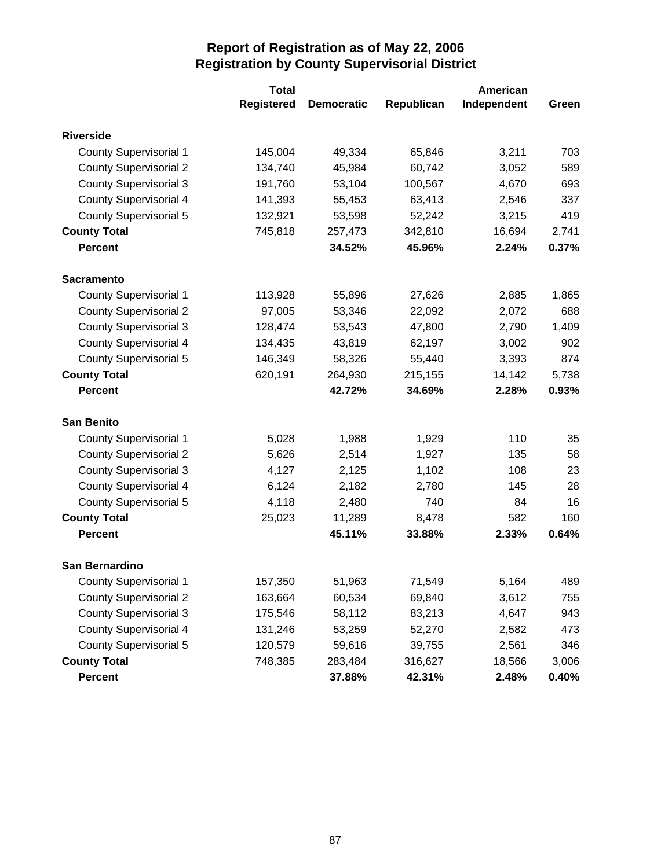|                               | <b>Total</b>      | American          |            |             |       |
|-------------------------------|-------------------|-------------------|------------|-------------|-------|
|                               | <b>Registered</b> | <b>Democratic</b> | Republican | Independent | Green |
| <b>Riverside</b>              |                   |                   |            |             |       |
| <b>County Supervisorial 1</b> | 145,004           | 49,334            | 65,846     | 3,211       | 703   |
| <b>County Supervisorial 2</b> | 134,740           | 45,984            | 60,742     | 3,052       | 589   |
| <b>County Supervisorial 3</b> | 191,760           | 53,104            | 100,567    | 4,670       | 693   |
| <b>County Supervisorial 4</b> | 141,393           | 55,453            | 63,413     | 2,546       | 337   |
| <b>County Supervisorial 5</b> | 132,921           | 53,598            | 52,242     | 3,215       | 419   |
| <b>County Total</b>           | 745,818           | 257,473           | 342,810    | 16,694      | 2,741 |
| <b>Percent</b>                |                   | 34.52%            | 45.96%     | 2.24%       | 0.37% |
| <b>Sacramento</b>             |                   |                   |            |             |       |
| <b>County Supervisorial 1</b> | 113,928           | 55,896            | 27,626     | 2,885       | 1,865 |
| <b>County Supervisorial 2</b> | 97,005            | 53,346            | 22,092     | 2,072       | 688   |
| <b>County Supervisorial 3</b> | 128,474           | 53,543            | 47,800     | 2,790       | 1,409 |
| <b>County Supervisorial 4</b> | 134,435           | 43,819            | 62,197     | 3,002       | 902   |
| <b>County Supervisorial 5</b> | 146,349           | 58,326            | 55,440     | 3,393       | 874   |
| <b>County Total</b>           | 620,191           | 264,930           | 215,155    | 14,142      | 5,738 |
| <b>Percent</b>                |                   | 42.72%            | 34.69%     | 2.28%       | 0.93% |
| <b>San Benito</b>             |                   |                   |            |             |       |
| <b>County Supervisorial 1</b> | 5,028             | 1,988             | 1,929      | 110         | 35    |
| <b>County Supervisorial 2</b> | 5,626             | 2,514             | 1,927      | 135         | 58    |
| <b>County Supervisorial 3</b> | 4,127             | 2,125             | 1,102      | 108         | 23    |
| <b>County Supervisorial 4</b> | 6,124             | 2,182             | 2,780      | 145         | 28    |
| <b>County Supervisorial 5</b> | 4,118             | 2,480             | 740        | 84          | 16    |
| <b>County Total</b>           | 25,023            | 11,289            | 8,478      | 582         | 160   |
| <b>Percent</b>                |                   | 45.11%            | 33.88%     | 2.33%       | 0.64% |
| San Bernardino                |                   |                   |            |             |       |
| <b>County Supervisorial 1</b> | 157,350           | 51,963            | 71,549     | 5,164       | 489   |
| <b>County Supervisorial 2</b> | 163,664           | 60,534            | 69,840     | 3,612       | 755   |
| <b>County Supervisorial 3</b> | 175,546           | 58,112            | 83,213     | 4,647       | 943   |
| <b>County Supervisorial 4</b> | 131,246           | 53,259            | 52,270     | 2,582       | 473   |
| <b>County Supervisorial 5</b> | 120,579           | 59,616            | 39,755     | 2,561       | 346   |
| <b>County Total</b>           | 748,385           | 283,484           | 316,627    | 18,566      | 3,006 |
| <b>Percent</b>                |                   | 37.88%            | 42.31%     | 2.48%       | 0.40% |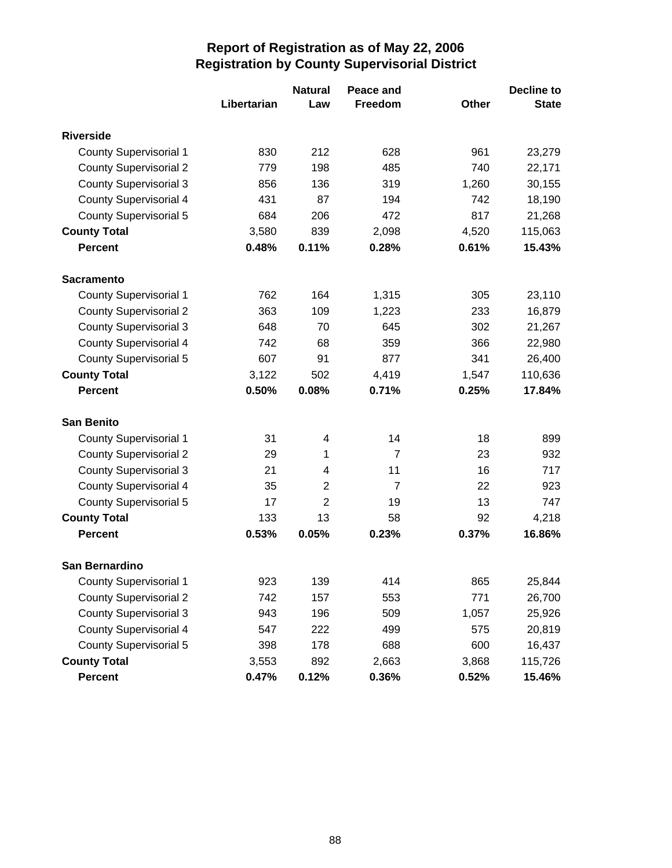|                               |             | <b>Natural</b> | Peace and      |       | <b>Decline to</b> |
|-------------------------------|-------------|----------------|----------------|-------|-------------------|
|                               | Libertarian | Law            | Freedom        | Other | <b>State</b>      |
| <b>Riverside</b>              |             |                |                |       |                   |
| <b>County Supervisorial 1</b> | 830         | 212            | 628            | 961   | 23,279            |
| <b>County Supervisorial 2</b> | 779         | 198            | 485            | 740   | 22,171            |
| <b>County Supervisorial 3</b> | 856         | 136            | 319            | 1,260 | 30,155            |
| <b>County Supervisorial 4</b> | 431         | 87             | 194            | 742   | 18,190            |
| <b>County Supervisorial 5</b> | 684         | 206            | 472            | 817   | 21,268            |
| <b>County Total</b>           | 3,580       | 839            | 2,098          | 4,520 | 115,063           |
| <b>Percent</b>                | 0.48%       | 0.11%          | 0.28%          | 0.61% | 15.43%            |
| <b>Sacramento</b>             |             |                |                |       |                   |
| <b>County Supervisorial 1</b> | 762         | 164            | 1,315          | 305   | 23,110            |
| <b>County Supervisorial 2</b> | 363         | 109            | 1,223          | 233   | 16,879            |
| <b>County Supervisorial 3</b> | 648         | 70             | 645            | 302   | 21,267            |
| <b>County Supervisorial 4</b> | 742         | 68             | 359            | 366   | 22,980            |
| <b>County Supervisorial 5</b> | 607         | 91             | 877            | 341   | 26,400            |
| <b>County Total</b>           | 3,122       | 502            | 4,419          | 1,547 | 110,636           |
| <b>Percent</b>                | 0.50%       | 0.08%          | 0.71%          | 0.25% | 17.84%            |
| <b>San Benito</b>             |             |                |                |       |                   |
| <b>County Supervisorial 1</b> | 31          | 4              | 14             | 18    | 899               |
| <b>County Supervisorial 2</b> | 29          | 1              | $\overline{7}$ | 23    | 932               |
| <b>County Supervisorial 3</b> | 21          | 4              | 11             | 16    | 717               |
| <b>County Supervisorial 4</b> | 35          | $\overline{2}$ | $\overline{7}$ | 22    | 923               |
| <b>County Supervisorial 5</b> | 17          | $\overline{2}$ | 19             | 13    | 747               |
| <b>County Total</b>           | 133         | 13             | 58             | 92    | 4,218             |
| <b>Percent</b>                | 0.53%       | 0.05%          | 0.23%          | 0.37% | 16.86%            |
| San Bernardino                |             |                |                |       |                   |
| <b>County Supervisorial 1</b> | 923         | 139            | 414            | 865   | 25,844            |
| <b>County Supervisorial 2</b> | 742         | 157            | 553            | 771   | 26,700            |
| <b>County Supervisorial 3</b> | 943         | 196            | 509            | 1,057 | 25,926            |
| <b>County Supervisorial 4</b> | 547         | 222            | 499            | 575   | 20,819            |
| <b>County Supervisorial 5</b> | 398         | 178            | 688            | 600   | 16,437            |
| <b>County Total</b>           | 3,553       | 892            | 2,663          | 3,868 | 115,726           |
| Percent                       | 0.47%       | 0.12%          | 0.36%          | 0.52% | 15.46%            |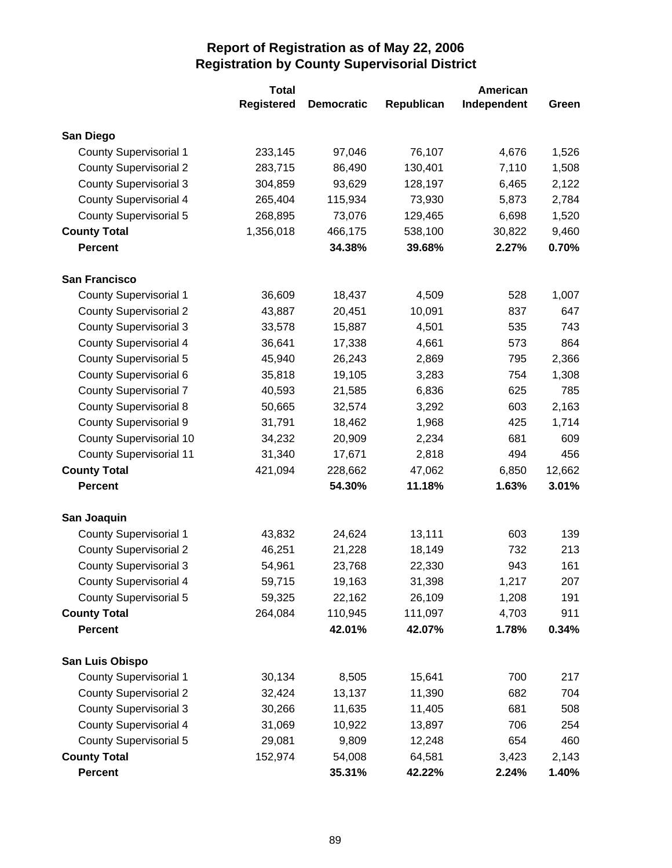|                                | <b>Total</b>      |                   |            | American    |        |
|--------------------------------|-------------------|-------------------|------------|-------------|--------|
|                                | <b>Registered</b> | <b>Democratic</b> | Republican | Independent | Green  |
| San Diego                      |                   |                   |            |             |        |
| <b>County Supervisorial 1</b>  | 233,145           | 97,046            | 76,107     | 4,676       | 1,526  |
| <b>County Supervisorial 2</b>  | 283,715           | 86,490            | 130,401    | 7,110       | 1,508  |
| <b>County Supervisorial 3</b>  | 304,859           | 93,629            | 128,197    | 6,465       | 2,122  |
| <b>County Supervisorial 4</b>  | 265,404           | 115,934           | 73,930     | 5,873       | 2,784  |
| County Supervisorial 5         | 268,895           | 73,076            | 129,465    | 6,698       | 1,520  |
| <b>County Total</b>            | 1,356,018         | 466,175           | 538,100    | 30,822      | 9,460  |
| <b>Percent</b>                 |                   | 34.38%            | 39.68%     | 2.27%       | 0.70%  |
| <b>San Francisco</b>           |                   |                   |            |             |        |
| <b>County Supervisorial 1</b>  | 36,609            | 18,437            | 4,509      | 528         | 1,007  |
| <b>County Supervisorial 2</b>  | 43,887            | 20,451            | 10,091     | 837         | 647    |
| <b>County Supervisorial 3</b>  | 33,578            | 15,887            | 4,501      | 535         | 743    |
| <b>County Supervisorial 4</b>  | 36,641            | 17,338            | 4,661      | 573         | 864    |
| <b>County Supervisorial 5</b>  | 45,940            | 26,243            | 2,869      | 795         | 2,366  |
| County Supervisorial 6         | 35,818            | 19,105            | 3,283      | 754         | 1,308  |
| <b>County Supervisorial 7</b>  | 40,593            | 21,585            | 6,836      | 625         | 785    |
| <b>County Supervisorial 8</b>  | 50,665            | 32,574            | 3,292      | 603         | 2,163  |
| <b>County Supervisorial 9</b>  | 31,791            | 18,462            | 1,968      | 425         | 1,714  |
| <b>County Supervisorial 10</b> | 34,232            | 20,909            | 2,234      | 681         | 609    |
| <b>County Supervisorial 11</b> | 31,340            | 17,671            | 2,818      | 494         | 456    |
| <b>County Total</b>            | 421,094           | 228,662           | 47,062     | 6,850       | 12,662 |
| <b>Percent</b>                 |                   | 54.30%            | 11.18%     | 1.63%       | 3.01%  |
| San Joaquin                    |                   |                   |            |             |        |
| <b>County Supervisorial 1</b>  | 43,832            | 24,624            | 13,111     | 603         | 139    |
| <b>County Supervisorial 2</b>  | 46,251            | 21,228            | 18,149     | 732         | 213    |
| <b>County Supervisorial 3</b>  | 54,961            | 23,768            | 22,330     | 943         | 161    |
| <b>County Supervisorial 4</b>  | 59,715            | 19,163            | 31,398     | 1,217       | 207    |
| <b>County Supervisorial 5</b>  | 59,325            | 22,162            | 26,109     | 1,208       | 191    |
| <b>County Total</b>            | 264,084           | 110,945           | 111,097    | 4,703       | 911    |
| <b>Percent</b>                 |                   | 42.01%            | 42.07%     | 1.78%       | 0.34%  |
| San Luis Obispo                |                   |                   |            |             |        |
| <b>County Supervisorial 1</b>  | 30,134            | 8,505             | 15,641     | 700         | 217    |
| <b>County Supervisorial 2</b>  | 32,424            | 13,137            | 11,390     | 682         | 704    |
| <b>County Supervisorial 3</b>  | 30,266            | 11,635            | 11,405     | 681         | 508    |
| <b>County Supervisorial 4</b>  | 31,069            | 10,922            | 13,897     | 706         | 254    |
| <b>County Supervisorial 5</b>  | 29,081            | 9,809             | 12,248     | 654         | 460    |
| <b>County Total</b>            | 152,974           | 54,008            | 64,581     | 3,423       | 2,143  |
| Percent                        |                   | 35.31%            | 42.22%     | 2.24%       | 1.40%  |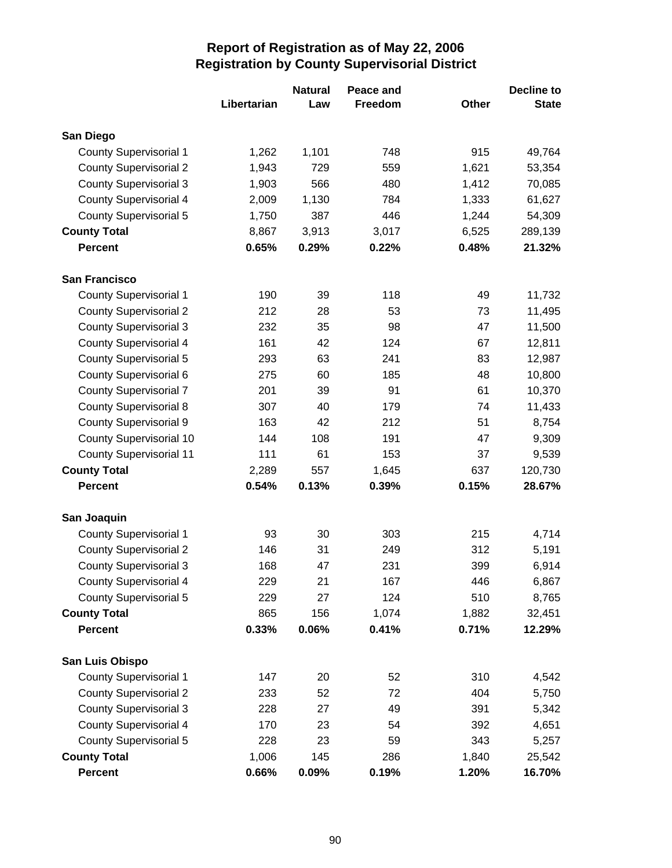|                                |             | <b>Natural</b> | Peace and |       | <b>Decline to</b> |
|--------------------------------|-------------|----------------|-----------|-------|-------------------|
|                                | Libertarian | Law            | Freedom   | Other | <b>State</b>      |
| San Diego                      |             |                |           |       |                   |
| <b>County Supervisorial 1</b>  | 1,262       | 1,101          | 748       | 915   | 49,764            |
| <b>County Supervisorial 2</b>  | 1,943       | 729            | 559       | 1,621 | 53,354            |
| <b>County Supervisorial 3</b>  | 1,903       | 566            | 480       | 1,412 | 70,085            |
| <b>County Supervisorial 4</b>  | 2,009       | 1,130          | 784       | 1,333 | 61,627            |
| <b>County Supervisorial 5</b>  | 1,750       | 387            | 446       | 1,244 | 54,309            |
| <b>County Total</b>            | 8,867       | 3,913          | 3,017     | 6,525 | 289,139           |
| <b>Percent</b>                 | 0.65%       | 0.29%          | 0.22%     | 0.48% | 21.32%            |
| <b>San Francisco</b>           |             |                |           |       |                   |
| <b>County Supervisorial 1</b>  | 190         | 39             | 118       | 49    | 11,732            |
| <b>County Supervisorial 2</b>  | 212         | 28             | 53        | 73    | 11,495            |
| <b>County Supervisorial 3</b>  | 232         | 35             | 98        | 47    | 11,500            |
| <b>County Supervisorial 4</b>  | 161         | 42             | 124       | 67    | 12,811            |
| <b>County Supervisorial 5</b>  | 293         | 63             | 241       | 83    | 12,987            |
| County Supervisorial 6         | 275         | 60             | 185       | 48    | 10,800            |
| <b>County Supervisorial 7</b>  | 201         | 39             | 91        | 61    | 10,370            |
| <b>County Supervisorial 8</b>  | 307         | 40             | 179       | 74    | 11,433            |
| <b>County Supervisorial 9</b>  | 163         | 42             | 212       | 51    | 8,754             |
| <b>County Supervisorial 10</b> | 144         | 108            | 191       | 47    | 9,309             |
| <b>County Supervisorial 11</b> | 111         | 61             | 153       | 37    | 9,539             |
| <b>County Total</b>            | 2,289       | 557            | 1,645     | 637   | 120,730           |
| <b>Percent</b>                 | 0.54%       | 0.13%          | 0.39%     | 0.15% | 28.67%            |
| San Joaquin                    |             |                |           |       |                   |
| <b>County Supervisorial 1</b>  | 93          | 30             | 303       | 215   | 4,714             |
| <b>County Supervisorial 2</b>  | 146         | 31             | 249       | 312   | 5,191             |
| <b>County Supervisorial 3</b>  | 168         | 47             | 231       | 399   | 6,914             |
| <b>County Supervisorial 4</b>  | 229         | 21             | 167       | 446   | 6,867             |
| <b>County Supervisorial 5</b>  | 229         | 27             | 124       | 510   | 8,765             |
| <b>County Total</b>            | 865         | 156            | 1,074     | 1,882 | 32,451            |
| <b>Percent</b>                 | 0.33%       | 0.06%          | 0.41%     | 0.71% | 12.29%            |
| San Luis Obispo                |             |                |           |       |                   |
| <b>County Supervisorial 1</b>  | 147         | 20             | 52        | 310   | 4,542             |
| <b>County Supervisorial 2</b>  | 233         | 52             | 72        | 404   | 5,750             |
| <b>County Supervisorial 3</b>  | 228         | 27             | 49        | 391   | 5,342             |
| <b>County Supervisorial 4</b>  | 170         | 23             | 54        | 392   | 4,651             |
| <b>County Supervisorial 5</b>  | 228         | 23             | 59        | 343   | 5,257             |
| <b>County Total</b>            | 1,006       | 145            | 286       | 1,840 | 25,542            |
| Percent                        | 0.66%       | 0.09%          | 0.19%     | 1.20% | 16.70%            |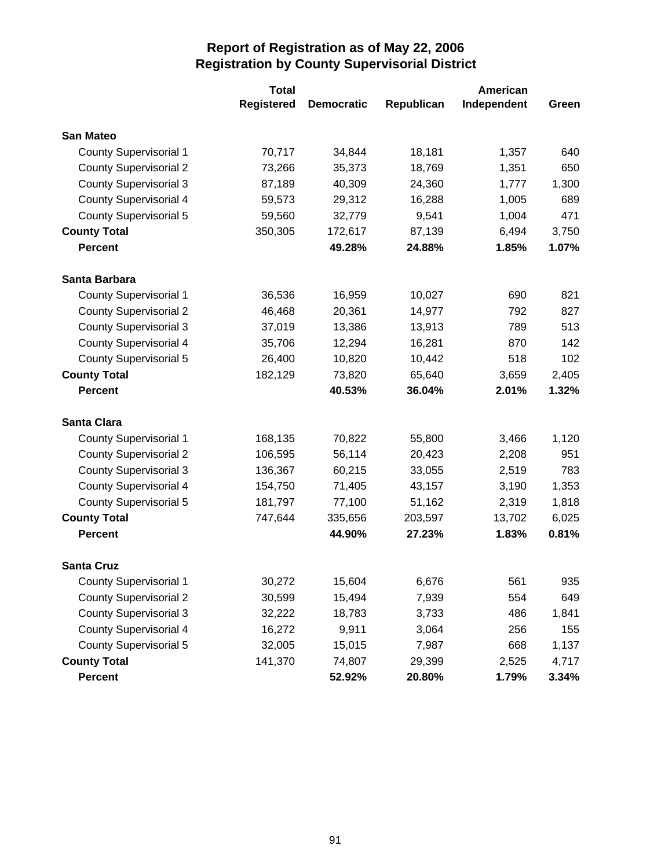|                               | <b>Total</b>      |                   | American   |             |       |
|-------------------------------|-------------------|-------------------|------------|-------------|-------|
|                               | <b>Registered</b> | <b>Democratic</b> | Republican | Independent | Green |
| <b>San Mateo</b>              |                   |                   |            |             |       |
| <b>County Supervisorial 1</b> | 70,717            | 34,844            | 18,181     | 1,357       | 640   |
| <b>County Supervisorial 2</b> | 73,266            | 35,373            | 18,769     | 1,351       | 650   |
| <b>County Supervisorial 3</b> | 87,189            | 40,309            | 24,360     | 1,777       | 1,300 |
| <b>County Supervisorial 4</b> | 59,573            | 29,312            | 16,288     | 1,005       | 689   |
| <b>County Supervisorial 5</b> | 59,560            | 32,779            | 9,541      | 1,004       | 471   |
| <b>County Total</b>           | 350,305           | 172,617           | 87,139     | 6,494       | 3,750 |
| <b>Percent</b>                |                   | 49.28%            | 24.88%     | 1.85%       | 1.07% |
| Santa Barbara                 |                   |                   |            |             |       |
| <b>County Supervisorial 1</b> | 36,536            | 16,959            | 10,027     | 690         | 821   |
| <b>County Supervisorial 2</b> | 46,468            | 20,361            | 14,977     | 792         | 827   |
| <b>County Supervisorial 3</b> | 37,019            | 13,386            | 13,913     | 789         | 513   |
| <b>County Supervisorial 4</b> | 35,706            | 12,294            | 16,281     | 870         | 142   |
| <b>County Supervisorial 5</b> | 26,400            | 10,820            | 10,442     | 518         | 102   |
| <b>County Total</b>           | 182,129           | 73,820            | 65,640     | 3,659       | 2,405 |
| <b>Percent</b>                |                   | 40.53%            | 36.04%     | 2.01%       | 1.32% |
| <b>Santa Clara</b>            |                   |                   |            |             |       |
| <b>County Supervisorial 1</b> | 168,135           | 70,822            | 55,800     | 3,466       | 1,120 |
| <b>County Supervisorial 2</b> | 106,595           | 56,114            | 20,423     | 2,208       | 951   |
| <b>County Supervisorial 3</b> | 136,367           | 60,215            | 33,055     | 2,519       | 783   |
| <b>County Supervisorial 4</b> | 154,750           | 71,405            | 43,157     | 3,190       | 1,353 |
| <b>County Supervisorial 5</b> | 181,797           | 77,100            | 51,162     | 2,319       | 1,818 |
| <b>County Total</b>           | 747,644           | 335,656           | 203,597    | 13,702      | 6,025 |
| <b>Percent</b>                |                   | 44.90%            | 27.23%     | 1.83%       | 0.81% |
| <b>Santa Cruz</b>             |                   |                   |            |             |       |
| <b>County Supervisorial 1</b> | 30,272            | 15,604            | 6,676      | 561         | 935   |
| <b>County Supervisorial 2</b> | 30,599            | 15,494            | 7,939      | 554         | 649   |
| <b>County Supervisorial 3</b> | 32,222            | 18,783            | 3,733      | 486         | 1,841 |
| <b>County Supervisorial 4</b> | 16,272            | 9,911             | 3,064      | 256         | 155   |
| <b>County Supervisorial 5</b> | 32,005            | 15,015            | 7,987      | 668         | 1,137 |
| <b>County Total</b>           | 141,370           | 74,807            | 29,399     | 2,525       | 4,717 |
| <b>Percent</b>                |                   | 52.92%            | 20.80%     | 1.79%       | 3.34% |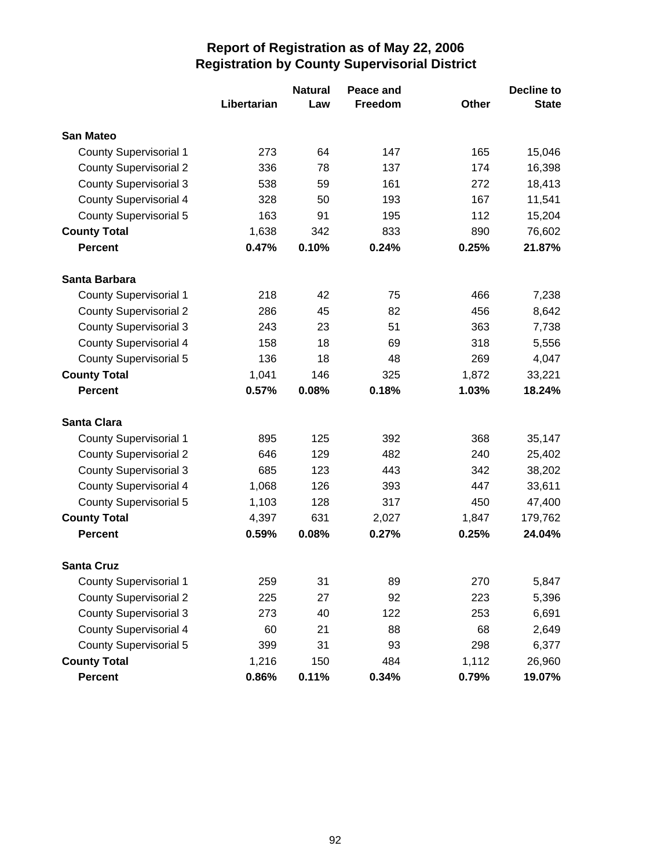|                               |             | <b>Natural</b> | Peace and |       | <b>Decline to</b> |
|-------------------------------|-------------|----------------|-----------|-------|-------------------|
|                               | Libertarian | Law            | Freedom   | Other | <b>State</b>      |
| <b>San Mateo</b>              |             |                |           |       |                   |
| <b>County Supervisorial 1</b> | 273         | 64             | 147       | 165   | 15,046            |
| <b>County Supervisorial 2</b> | 336         | 78             | 137       | 174   | 16,398            |
| <b>County Supervisorial 3</b> | 538         | 59             | 161       | 272   | 18,413            |
| <b>County Supervisorial 4</b> | 328         | 50             | 193       | 167   | 11,541            |
| County Supervisorial 5        | 163         | 91             | 195       | 112   | 15,204            |
| <b>County Total</b>           | 1,638       | 342            | 833       | 890   | 76,602            |
| <b>Percent</b>                | 0.47%       | 0.10%          | 0.24%     | 0.25% | 21.87%            |
| Santa Barbara                 |             |                |           |       |                   |
| <b>County Supervisorial 1</b> | 218         | 42             | 75        | 466   | 7,238             |
| <b>County Supervisorial 2</b> | 286         | 45             | 82        | 456   | 8,642             |
| <b>County Supervisorial 3</b> | 243         | 23             | 51        | 363   | 7,738             |
| <b>County Supervisorial 4</b> | 158         | 18             | 69        | 318   | 5,556             |
| <b>County Supervisorial 5</b> | 136         | 18             | 48        | 269   | 4,047             |
| <b>County Total</b>           | 1,041       | 146            | 325       | 1,872 | 33,221            |
| <b>Percent</b>                | 0.57%       | 0.08%          | 0.18%     | 1.03% | 18.24%            |
| <b>Santa Clara</b>            |             |                |           |       |                   |
| <b>County Supervisorial 1</b> | 895         | 125            | 392       | 368   | 35,147            |
| <b>County Supervisorial 2</b> | 646         | 129            | 482       | 240   | 25,402            |
| <b>County Supervisorial 3</b> | 685         | 123            | 443       | 342   | 38,202            |
| <b>County Supervisorial 4</b> | 1,068       | 126            | 393       | 447   | 33,611            |
| <b>County Supervisorial 5</b> | 1,103       | 128            | 317       | 450   | 47,400            |
| <b>County Total</b>           | 4,397       | 631            | 2,027     | 1,847 | 179,762           |
| <b>Percent</b>                | 0.59%       | 0.08%          | 0.27%     | 0.25% | 24.04%            |
| <b>Santa Cruz</b>             |             |                |           |       |                   |
| <b>County Supervisorial 1</b> | 259         | 31             | 89        | 270   | 5,847             |
| <b>County Supervisorial 2</b> | 225         | 27             | 92        | 223   | 5,396             |
| <b>County Supervisorial 3</b> | 273         | 40             | 122       | 253   | 6,691             |
| <b>County Supervisorial 4</b> | 60          | 21             | 88        | 68    | 2,649             |
| <b>County Supervisorial 5</b> | 399         | 31             | 93        | 298   | 6,377             |
| <b>County Total</b>           | 1,216       | 150            | 484       | 1,112 | 26,960            |
| Percent                       | 0.86%       | 0.11%          | 0.34%     | 0.79% | 19.07%            |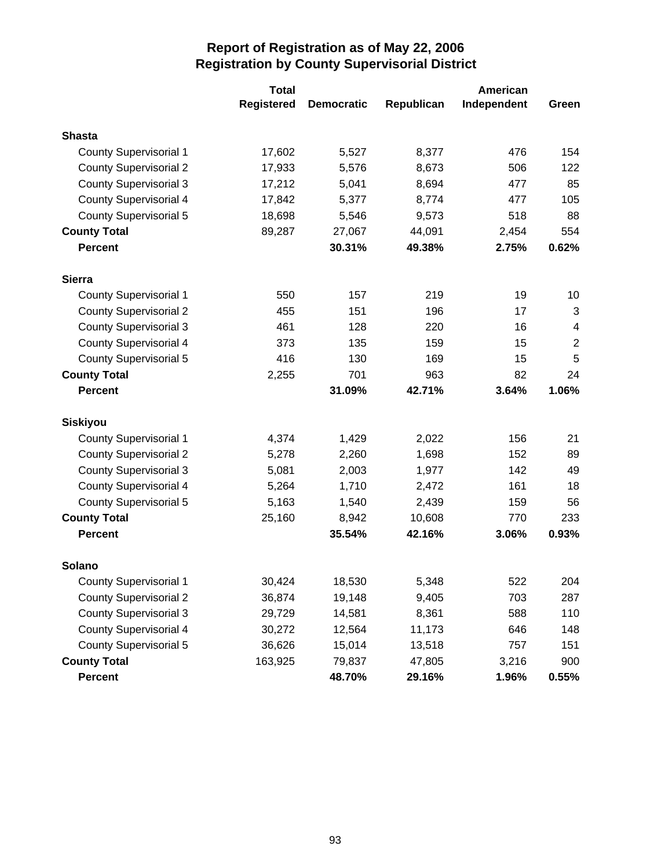|                               | <b>Total</b>      | American          |            |             |                         |
|-------------------------------|-------------------|-------------------|------------|-------------|-------------------------|
|                               | <b>Registered</b> | <b>Democratic</b> | Republican | Independent | Green                   |
| <b>Shasta</b>                 |                   |                   |            |             |                         |
| <b>County Supervisorial 1</b> | 17,602            | 5,527             | 8,377      | 476         | 154                     |
| <b>County Supervisorial 2</b> | 17,933            | 5,576             | 8,673      | 506         | 122                     |
| <b>County Supervisorial 3</b> | 17,212            | 5,041             | 8,694      | 477         | 85                      |
| <b>County Supervisorial 4</b> | 17,842            | 5,377             | 8,774      | 477         | 105                     |
| County Supervisorial 5        | 18,698            | 5,546             | 9,573      | 518         | 88                      |
| <b>County Total</b>           | 89,287            | 27,067            | 44,091     | 2,454       | 554                     |
| <b>Percent</b>                |                   | 30.31%            | 49.38%     | 2.75%       | 0.62%                   |
| <b>Sierra</b>                 |                   |                   |            |             |                         |
| <b>County Supervisorial 1</b> | 550               | 157               | 219        | 19          | 10                      |
| <b>County Supervisorial 2</b> | 455               | 151               | 196        | 17          | 3                       |
| <b>County Supervisorial 3</b> | 461               | 128               | 220        | 16          | $\overline{\mathbf{4}}$ |
| <b>County Supervisorial 4</b> | 373               | 135               | 159        | 15          | $\overline{2}$          |
| <b>County Supervisorial 5</b> | 416               | 130               | 169        | 15          | 5                       |
| <b>County Total</b>           | 2,255             | 701               | 963        | 82          | 24                      |
| <b>Percent</b>                |                   | 31.09%            | 42.71%     | 3.64%       | 1.06%                   |
| <b>Siskiyou</b>               |                   |                   |            |             |                         |
| <b>County Supervisorial 1</b> | 4,374             | 1,429             | 2,022      | 156         | 21                      |
| <b>County Supervisorial 2</b> | 5,278             | 2,260             | 1,698      | 152         | 89                      |
| <b>County Supervisorial 3</b> | 5,081             | 2,003             | 1,977      | 142         | 49                      |
| <b>County Supervisorial 4</b> | 5,264             | 1,710             | 2,472      | 161         | 18                      |
| <b>County Supervisorial 5</b> | 5,163             | 1,540             | 2,439      | 159         | 56                      |
| <b>County Total</b>           | 25,160            | 8,942             | 10,608     | 770         | 233                     |
| <b>Percent</b>                |                   | 35.54%            | 42.16%     | 3.06%       | 0.93%                   |
| Solano                        |                   |                   |            |             |                         |
| <b>County Supervisorial 1</b> | 30,424            | 18,530            | 5,348      | 522         | 204                     |
| <b>County Supervisorial 2</b> | 36,874            | 19,148            | 9,405      | 703         | 287                     |
| <b>County Supervisorial 3</b> | 29,729            | 14,581            | 8,361      | 588         | 110                     |
| <b>County Supervisorial 4</b> | 30,272            | 12,564            | 11,173     | 646         | 148                     |
| <b>County Supervisorial 5</b> | 36,626            | 15,014            | 13,518     | 757         | 151                     |
| <b>County Total</b>           | 163,925           | 79,837            | 47,805     | 3,216       | 900                     |
| Percent                       |                   | 48.70%            | 29.16%     | 1.96%       | 0.55%                   |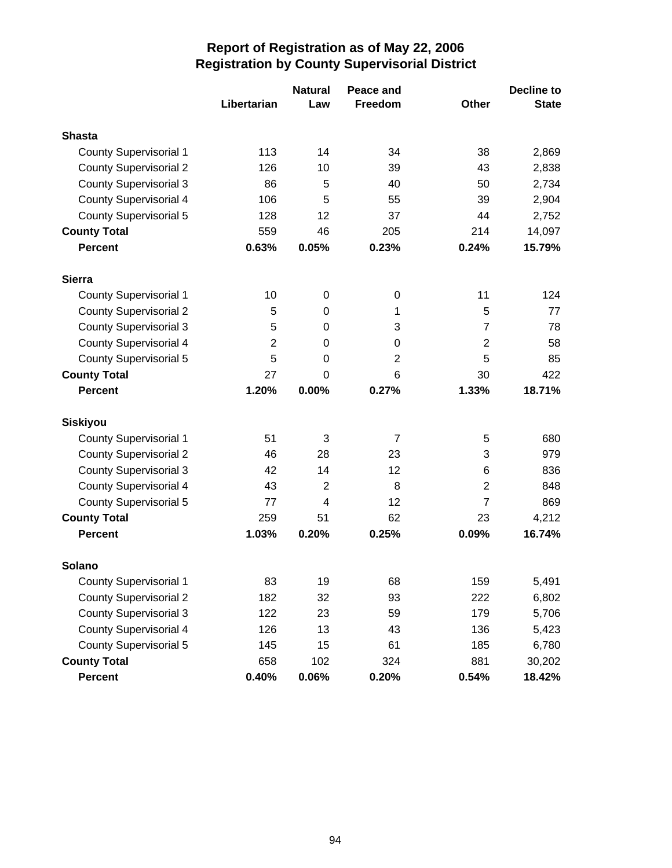|                               |                | <b>Natural</b> | Peace and      |                | <b>Decline to</b> |
|-------------------------------|----------------|----------------|----------------|----------------|-------------------|
|                               | Libertarian    | Law            | <b>Freedom</b> | Other          | <b>State</b>      |
| <b>Shasta</b>                 |                |                |                |                |                   |
| <b>County Supervisorial 1</b> | 113            | 14             | 34             | 38             | 2,869             |
| <b>County Supervisorial 2</b> | 126            | 10             | 39             | 43             | 2,838             |
| <b>County Supervisorial 3</b> | 86             | 5              | 40             | 50             | 2,734             |
| <b>County Supervisorial 4</b> | 106            | 5              | 55             | 39             | 2,904             |
| County Supervisorial 5        | 128            | 12             | 37             | 44             | 2,752             |
| <b>County Total</b>           | 559            | 46             | 205            | 214            | 14,097            |
| <b>Percent</b>                | 0.63%          | 0.05%          | 0.23%          | 0.24%          | 15.79%            |
| <b>Sierra</b>                 |                |                |                |                |                   |
| <b>County Supervisorial 1</b> | 10             | $\pmb{0}$      | 0              | 11             | 124               |
| <b>County Supervisorial 2</b> | 5              | 0              | 1              | 5              | 77                |
| <b>County Supervisorial 3</b> | 5              | 0              | 3              | $\overline{7}$ | 78                |
| <b>County Supervisorial 4</b> | $\overline{2}$ | 0              | 0              | $\overline{2}$ | 58                |
| <b>County Supervisorial 5</b> | 5              | 0              | $\overline{2}$ | 5              | 85                |
| <b>County Total</b>           | 27             | 0              | 6              | 30             | 422               |
| <b>Percent</b>                | 1.20%          | 0.00%          | 0.27%          | 1.33%          | 18.71%            |
| <b>Siskiyou</b>               |                |                |                |                |                   |
| <b>County Supervisorial 1</b> | 51             | 3              | 7              | 5              | 680               |
| <b>County Supervisorial 2</b> | 46             | 28             | 23             | 3              | 979               |
| <b>County Supervisorial 3</b> | 42             | 14             | 12             | 6              | 836               |
| <b>County Supervisorial 4</b> | 43             | $\overline{2}$ | 8              | $\overline{2}$ | 848               |
| County Supervisorial 5        | 77             | 4              | 12             | $\overline{7}$ | 869               |
| <b>County Total</b>           | 259            | 51             | 62             | 23             | 4,212             |
| <b>Percent</b>                | 1.03%          | 0.20%          | 0.25%          | 0.09%          | 16.74%            |
| Solano                        |                |                |                |                |                   |
| <b>County Supervisorial 1</b> | 83             | 19             | 68             | 159            | 5,491             |
| <b>County Supervisorial 2</b> | 182            | 32             | 93             | 222            | 6,802             |
| <b>County Supervisorial 3</b> | 122            | 23             | 59             | 179            | 5,706             |
| <b>County Supervisorial 4</b> | 126            | 13             | 43             | 136            | 5,423             |
| <b>County Supervisorial 5</b> | 145            | 15             | 61             | 185            | 6,780             |
| <b>County Total</b>           | 658            | 102            | 324            | 881            | 30,202            |
| Percent                       | 0.40%          | 0.06%          | 0.20%          | 0.54%          | 18.42%            |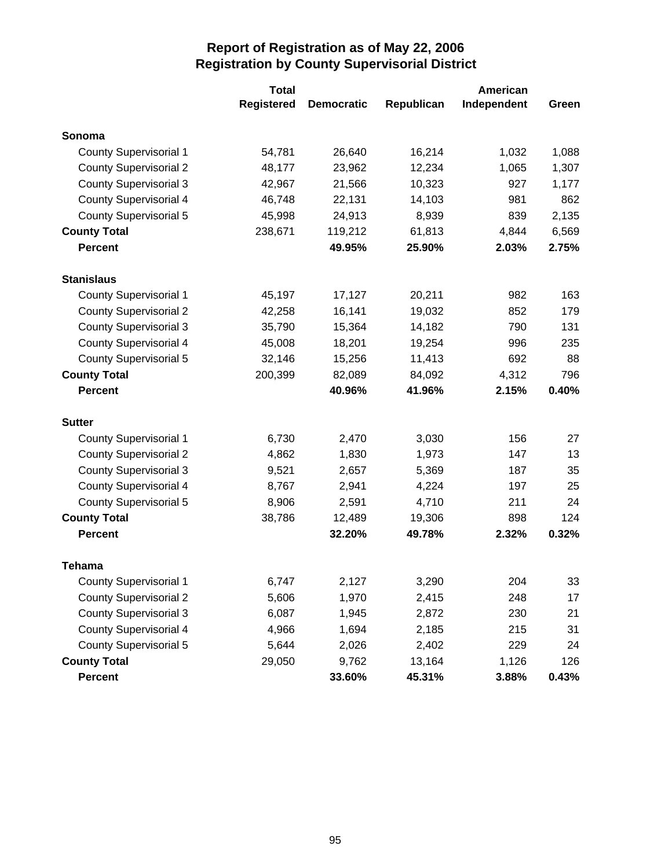|                               | <b>Total</b>      |                   |            |             |       |
|-------------------------------|-------------------|-------------------|------------|-------------|-------|
|                               | <b>Registered</b> | <b>Democratic</b> | Republican | Independent | Green |
| Sonoma                        |                   |                   |            |             |       |
| <b>County Supervisorial 1</b> | 54,781            | 26,640            | 16,214     | 1,032       | 1,088 |
| <b>County Supervisorial 2</b> | 48,177            | 23,962            | 12,234     | 1,065       | 1,307 |
| <b>County Supervisorial 3</b> | 42,967            | 21,566            | 10,323     | 927         | 1,177 |
| <b>County Supervisorial 4</b> | 46,748            | 22,131            | 14,103     | 981         | 862   |
| <b>County Supervisorial 5</b> | 45,998            | 24,913            | 8,939      | 839         | 2,135 |
| <b>County Total</b>           | 238,671           | 119,212           | 61,813     | 4,844       | 6,569 |
| <b>Percent</b>                |                   | 49.95%            | 25.90%     | 2.03%       | 2.75% |
| <b>Stanislaus</b>             |                   |                   |            |             |       |
| <b>County Supervisorial 1</b> | 45,197            | 17,127            | 20,211     | 982         | 163   |
| <b>County Supervisorial 2</b> | 42,258            | 16,141            | 19,032     | 852         | 179   |
| <b>County Supervisorial 3</b> | 35,790            | 15,364            | 14,182     | 790         | 131   |
| <b>County Supervisorial 4</b> | 45,008            | 18,201            | 19,254     | 996         | 235   |
| <b>County Supervisorial 5</b> | 32,146            | 15,256            | 11,413     | 692         | 88    |
| <b>County Total</b>           | 200,399           | 82,089            | 84,092     | 4,312       | 796   |
| <b>Percent</b>                |                   | 40.96%            | 41.96%     | 2.15%       | 0.40% |
| <b>Sutter</b>                 |                   |                   |            |             |       |
| <b>County Supervisorial 1</b> | 6,730             | 2,470             | 3,030      | 156         | 27    |
| <b>County Supervisorial 2</b> | 4,862             | 1,830             | 1,973      | 147         | 13    |
| <b>County Supervisorial 3</b> | 9,521             | 2,657             | 5,369      | 187         | 35    |
| <b>County Supervisorial 4</b> | 8,767             | 2,941             | 4,224      | 197         | 25    |
| <b>County Supervisorial 5</b> | 8,906             | 2,591             | 4,710      | 211         | 24    |
| <b>County Total</b>           | 38,786            | 12,489            | 19,306     | 898         | 124   |
| <b>Percent</b>                |                   | 32.20%            | 49.78%     | 2.32%       | 0.32% |
| <b>Tehama</b>                 |                   |                   |            |             |       |
| <b>County Supervisorial 1</b> | 6,747             | 2,127             | 3,290      | 204         | 33    |
| <b>County Supervisorial 2</b> | 5,606             | 1,970             | 2,415      | 248         | 17    |
| <b>County Supervisorial 3</b> | 6,087             | 1,945             | 2,872      | 230         | 21    |
| <b>County Supervisorial 4</b> | 4,966             | 1,694             | 2,185      | 215         | 31    |
| <b>County Supervisorial 5</b> | 5,644             | 2,026             | 2,402      | 229         | 24    |
| <b>County Total</b>           | 29,050            | 9,762             | 13,164     | 1,126       | 126   |
| Percent                       |                   | 33.60%            | 45.31%     | 3.88%       | 0.43% |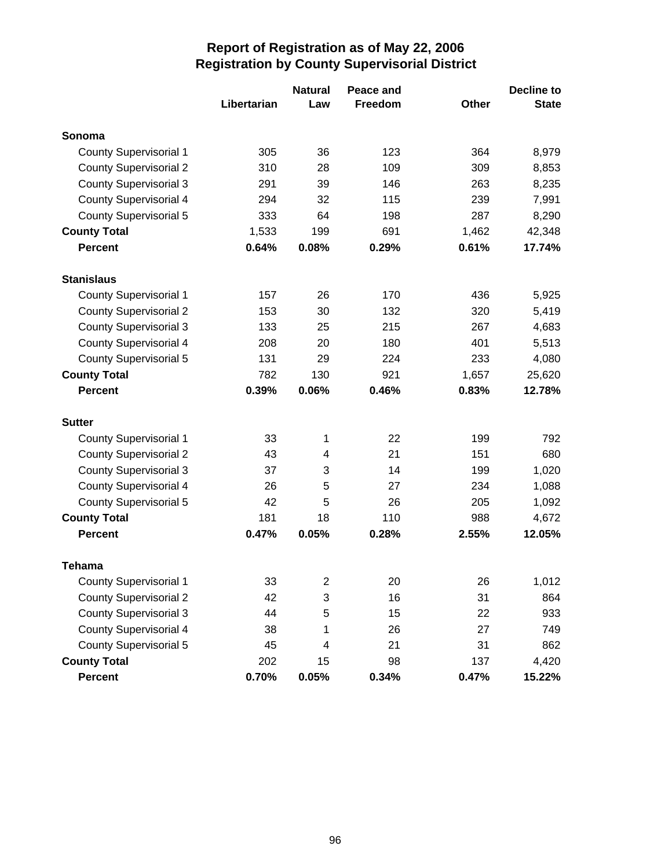|                               |             | <b>Natural</b>   | Peace and |       | <b>Decline to</b> |
|-------------------------------|-------------|------------------|-----------|-------|-------------------|
|                               | Libertarian | Law              | Freedom   | Other | <b>State</b>      |
| Sonoma                        |             |                  |           |       |                   |
| <b>County Supervisorial 1</b> | 305         | 36               | 123       | 364   | 8,979             |
| <b>County Supervisorial 2</b> | 310         | 28               | 109       | 309   | 8,853             |
| <b>County Supervisorial 3</b> | 291         | 39               | 146       | 263   | 8,235             |
| <b>County Supervisorial 4</b> | 294         | 32               | 115       | 239   | 7,991             |
| County Supervisorial 5        | 333         | 64               | 198       | 287   | 8,290             |
| <b>County Total</b>           | 1,533       | 199              | 691       | 1,462 | 42,348            |
| <b>Percent</b>                | 0.64%       | 0.08%            | 0.29%     | 0.61% | 17.74%            |
| <b>Stanislaus</b>             |             |                  |           |       |                   |
| <b>County Supervisorial 1</b> | 157         | 26               | 170       | 436   | 5,925             |
| <b>County Supervisorial 2</b> | 153         | 30               | 132       | 320   | 5,419             |
| <b>County Supervisorial 3</b> | 133         | 25               | 215       | 267   | 4,683             |
| <b>County Supervisorial 4</b> | 208         | 20               | 180       | 401   | 5,513             |
| <b>County Supervisorial 5</b> | 131         | 29               | 224       | 233   | 4,080             |
| <b>County Total</b>           | 782         | 130              | 921       | 1,657 | 25,620            |
| <b>Percent</b>                | 0.39%       | 0.06%            | 0.46%     | 0.83% | 12.78%            |
| <b>Sutter</b>                 |             |                  |           |       |                   |
| <b>County Supervisorial 1</b> | 33          | 1                | 22        | 199   | 792               |
| <b>County Supervisorial 2</b> | 43          | 4                | 21        | 151   | 680               |
| <b>County Supervisorial 3</b> | 37          | 3                | 14        | 199   | 1,020             |
| <b>County Supervisorial 4</b> | 26          | 5                | 27        | 234   | 1,088             |
| <b>County Supervisorial 5</b> | 42          | 5                | 26        | 205   | 1,092             |
| <b>County Total</b>           | 181         | 18               | 110       | 988   | 4,672             |
| <b>Percent</b>                | 0.47%       | 0.05%            | 0.28%     | 2.55% | 12.05%            |
| Tehama                        |             |                  |           |       |                   |
| <b>County Supervisorial 1</b> | 33          | $\boldsymbol{2}$ | 20        | 26    | 1,012             |
| <b>County Supervisorial 2</b> | 42          | 3                | 16        | 31    | 864               |
| <b>County Supervisorial 3</b> | 44          | 5                | 15        | 22    | 933               |
| <b>County Supervisorial 4</b> | 38          | 1                | 26        | 27    | 749               |
| <b>County Supervisorial 5</b> | 45          | 4                | 21        | 31    | 862               |
| <b>County Total</b>           | 202         | 15               | 98        | 137   | 4,420             |
| Percent                       | 0.70%       | 0.05%            | 0.34%     | 0.47% | 15.22%            |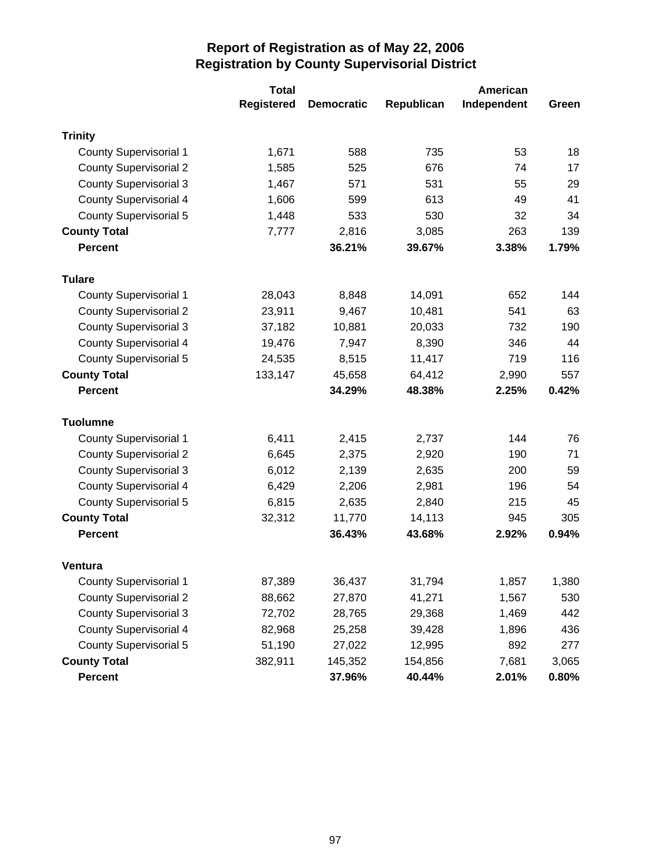|                               | <b>Total</b>      |                   |            | American    |          |
|-------------------------------|-------------------|-------------------|------------|-------------|----------|
|                               | <b>Registered</b> | <b>Democratic</b> | Republican | Independent | Green    |
| <b>Trinity</b>                |                   |                   |            |             |          |
| <b>County Supervisorial 1</b> | 1,671             | 588               | 735        | 53          | 18       |
| <b>County Supervisorial 2</b> | 1,585             | 525               | 676        | 74          | 17       |
| <b>County Supervisorial 3</b> | 1,467             | 571               | 531        | 55          | 29       |
| <b>County Supervisorial 4</b> | 1,606             | 599               | 613        | 49          | 41       |
| County Supervisorial 5        | 1,448             | 533               | 530        | 32          | 34       |
| <b>County Total</b>           | 7,777             | 2,816             | 3,085      | 263         | 139      |
| <b>Percent</b>                |                   | 36.21%            | 39.67%     | 3.38%       | 1.79%    |
| <b>Tulare</b>                 |                   |                   |            |             |          |
| <b>County Supervisorial 1</b> | 28,043            | 8,848             | 14,091     | 652         | 144      |
| <b>County Supervisorial 2</b> | 23,911            | 9,467             | 10,481     | 541         | 63       |
| <b>County Supervisorial 3</b> | 37,182            | 10,881            | 20,033     | 732         | 190      |
| <b>County Supervisorial 4</b> | 19,476            | 7,947             | 8,390      | 346         | 44       |
| <b>County Supervisorial 5</b> | 24,535            | 8,515             | 11,417     | 719         | 116      |
| <b>County Total</b>           | 133,147           | 45,658            | 64,412     | 2,990       | 557      |
| <b>Percent</b>                |                   | 34.29%            | 48.38%     | 2.25%       | 0.42%    |
| <b>Tuolumne</b>               |                   |                   |            |             |          |
| <b>County Supervisorial 1</b> | 6,411             | 2,415             | 2,737      | 144         | 76       |
| <b>County Supervisorial 2</b> | 6,645             | 2,375             | 2,920      | 190         | 71       |
| <b>County Supervisorial 3</b> | 6,012             | 2,139             | 2,635      | 200         | 59       |
| <b>County Supervisorial 4</b> | 6,429             | 2,206             | 2,981      | 196         | 54       |
| <b>County Supervisorial 5</b> | 6,815             | 2,635             | 2,840      | 215         | 45       |
| <b>County Total</b>           | 32,312            | 11,770            | 14,113     | 945         | 305      |
| <b>Percent</b>                |                   | 36.43%            | 43.68%     | 2.92%       | 0.94%    |
| <b>Ventura</b>                |                   |                   |            |             |          |
| <b>County Supervisorial 1</b> | 87,389            | 36,437            | 31,794     | 1,857       | 1,380    |
| <b>County Supervisorial 2</b> | 88,662            | 27,870            | 41,271     | 1,567       | 530      |
| <b>County Supervisorial 3</b> | 72,702            | 28,765            | 29,368     | 1,469       | 442      |
| <b>County Supervisorial 4</b> | 82,968            | 25,258            | 39,428     | 1,896       | 436      |
| <b>County Supervisorial 5</b> | 51,190            | 27,022            | 12,995     | 892         | 277      |
| <b>County Total</b>           | 382,911           | 145,352           | 154,856    | 7,681       | 3,065    |
| Percent                       |                   | 37.96%            | 40.44%     | 2.01%       | $0.80\%$ |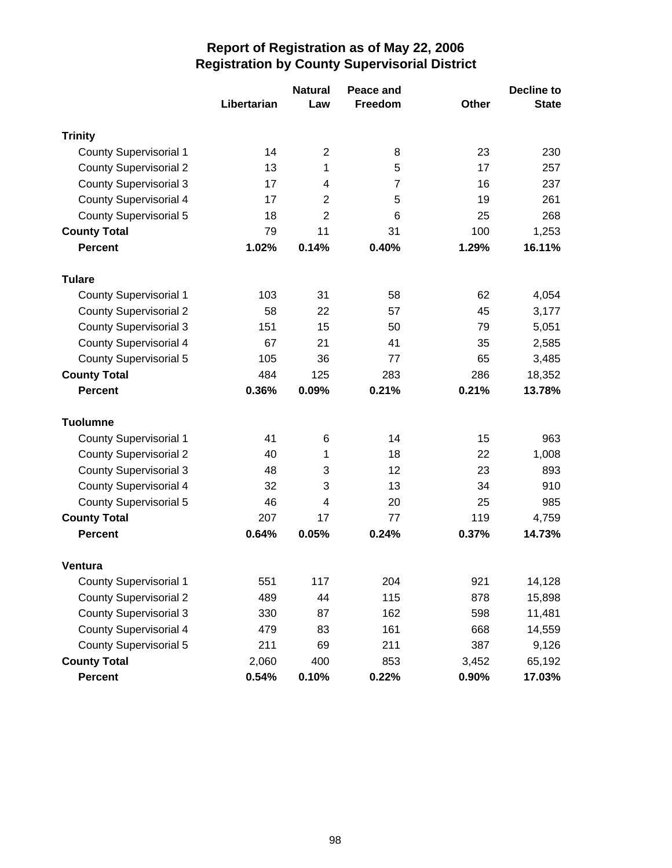|                               |             | <b>Natural</b> | Peace and      |              | <b>Decline to</b> |
|-------------------------------|-------------|----------------|----------------|--------------|-------------------|
|                               | Libertarian | Law            | <b>Freedom</b> | <b>Other</b> | <b>State</b>      |
| <b>Trinity</b>                |             |                |                |              |                   |
| <b>County Supervisorial 1</b> | 14          | $\overline{2}$ | 8              | 23           | 230               |
| <b>County Supervisorial 2</b> | 13          | 1              | 5              | 17           | 257               |
| <b>County Supervisorial 3</b> | 17          | 4              | 7              | 16           | 237               |
| <b>County Supervisorial 4</b> | 17          | $\overline{2}$ | 5              | 19           | 261               |
| <b>County Supervisorial 5</b> | 18          | $\overline{2}$ | 6              | 25           | 268               |
| <b>County Total</b>           | 79          | 11             | 31             | 100          | 1,253             |
| <b>Percent</b>                | 1.02%       | 0.14%          | 0.40%          | 1.29%        | 16.11%            |
| <b>Tulare</b>                 |             |                |                |              |                   |
| <b>County Supervisorial 1</b> | 103         | 31             | 58             | 62           | 4,054             |
| <b>County Supervisorial 2</b> | 58          | 22             | 57             | 45           | 3,177             |
| <b>County Supervisorial 3</b> | 151         | 15             | 50             | 79           | 5,051             |
| <b>County Supervisorial 4</b> | 67          | 21             | 41             | 35           | 2,585             |
| <b>County Supervisorial 5</b> | 105         | 36             | 77             | 65           | 3,485             |
| <b>County Total</b>           | 484         | 125            | 283            | 286          | 18,352            |
| <b>Percent</b>                | 0.36%       | 0.09%          | 0.21%          | 0.21%        | 13.78%            |
| <b>Tuolumne</b>               |             |                |                |              |                   |
| <b>County Supervisorial 1</b> | 41          | 6              | 14             | 15           | 963               |
| <b>County Supervisorial 2</b> | 40          | 1              | 18             | 22           | 1,008             |
| <b>County Supervisorial 3</b> | 48          | 3              | 12             | 23           | 893               |
| County Supervisorial 4        | 32          | 3              | 13             | 34           | 910               |
| <b>County Supervisorial 5</b> | 46          | 4              | 20             | 25           | 985               |
| <b>County Total</b>           | 207         | 17             | 77             | 119          | 4,759             |
| <b>Percent</b>                | 0.64%       | 0.05%          | 0.24%          | 0.37%        | 14.73%            |
| <b>Ventura</b>                |             |                |                |              |                   |
| <b>County Supervisorial 1</b> | 551         | 117            | 204            | 921          | 14,128            |
| <b>County Supervisorial 2</b> | 489         | 44             | 115            | 878          | 15,898            |
| <b>County Supervisorial 3</b> | 330         | 87             | 162            | 598          | 11,481            |
| <b>County Supervisorial 4</b> | 479         | 83             | 161            | 668          | 14,559            |
| <b>County Supervisorial 5</b> | 211         | 69             | 211            | 387          | 9,126             |
| <b>County Total</b>           | 2,060       | 400            | 853            | 3,452        | 65,192            |
| <b>Percent</b>                | 0.54%       | 0.10%          | 0.22%          | 0.90%        | 17.03%            |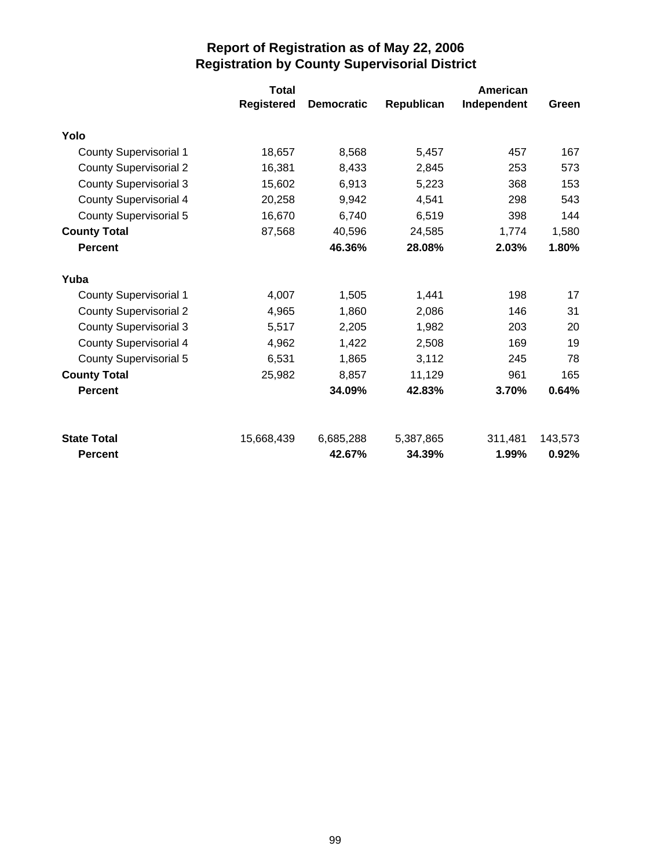|                               | <b>Total</b>      |                   |            | American    |         |
|-------------------------------|-------------------|-------------------|------------|-------------|---------|
|                               | <b>Registered</b> | <b>Democratic</b> | Republican | Independent | Green   |
| Yolo                          |                   |                   |            |             |         |
| <b>County Supervisorial 1</b> | 18,657            | 8,568             | 5,457      | 457         | 167     |
| <b>County Supervisorial 2</b> | 16,381            | 8,433             | 2,845      | 253         | 573     |
| <b>County Supervisorial 3</b> | 15,602            | 6,913             | 5,223      | 368         | 153     |
| <b>County Supervisorial 4</b> | 20,258            | 9,942             | 4,541      | 298         | 543     |
| County Supervisorial 5        | 16,670            | 6,740             | 6,519      | 398         | 144     |
| <b>County Total</b>           | 87,568            | 40,596            | 24,585     | 1,774       | 1,580   |
| <b>Percent</b>                |                   | 46.36%            | 28.08%     | 2.03%       | 1.80%   |
| Yuba                          |                   |                   |            |             |         |
| <b>County Supervisorial 1</b> | 4,007             | 1,505             | 1,441      | 198         | 17      |
| <b>County Supervisorial 2</b> | 4,965             | 1,860             | 2,086      | 146         | 31      |
| <b>County Supervisorial 3</b> | 5,517             | 2,205             | 1,982      | 203         | 20      |
| <b>County Supervisorial 4</b> | 4,962             | 1,422             | 2,508      | 169         | 19      |
| <b>County Supervisorial 5</b> | 6,531             | 1,865             | 3,112      | 245         | 78      |
| <b>County Total</b>           | 25,982            | 8,857             | 11,129     | 961         | 165     |
| <b>Percent</b>                |                   | 34.09%            | 42.83%     | 3.70%       | 0.64%   |
| <b>State Total</b>            | 15,668,439        | 6,685,288         | 5,387,865  | 311,481     | 143,573 |
| <b>Percent</b>                |                   | 42.67%            | 34.39%     | 1.99%       | 0.92%   |